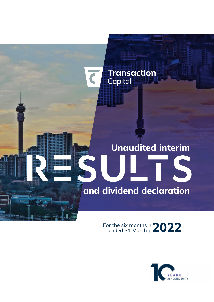# $\overline{\textbf{C}}$ **Transaction** Capital

# **Unaudited interim** S **and dividend declaration**

# **2022 For the six months ended 31 March**

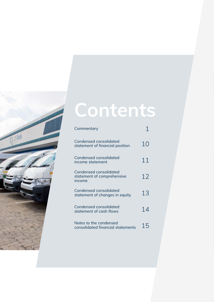# **Astrad**

# **Contents**

| Commentary                                                     |     |
|----------------------------------------------------------------|-----|
| Condensed consolidated<br>statement of financial position      | 10  |
| Condensed consolidated<br>income statement                     | 11  |
| Condensed consolidated<br>statement of comprehensive<br>income | 12  |
| Condensed consolidated<br>statement of changes in equity       | 13  |
| Condensed consolidated<br>statement of cash flows              | 14  |
| Notes to the condensed<br>consolidated financial statements    | 1 ს |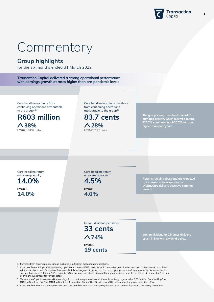

**1**

# <span id="page-2-0"></span>**Commentary**

## **Group highlights**

for the six months ended 31 March 2022

**Transaction Capital delivered a strong operational performance with earnings growth at rates higher than pre-pandemic levels** 

Core headline earnings from continuing operations attributable to the group $1.2,3$ 

**R603 million 38%**

HY2021: R437 million

Core headline earnings per share from continuing operations attributable to the group<sup>1,2</sup>

**83.7 cents 28%** HY2021: 65.5 cents

**The group's long-term track record of earnings growth, which resumed during FY2021 continues into HY2022 at rates higher than prior years.**

Core headline return on average equity<sup>4</sup>

**14.0%** 

**HY2021 14.0%** Core headline return on average assets<sup>4</sup> **4.5%** 

**HY2021 4.0%** **Returns remain robust and are expected to increase as the acquisition of WeBuyCars delivers accretive earnings growth.**

Interim dividend per share **33 cents 74% HY2021 19 cents**

**Interim dividend at 2.5 times dividend cover, in line with dividend policy.**

*1. Earnings from continuing operations excludes results from discontinued operations.*

*2. Core headline earnings from continuing operations is a non-IFRS measure which excludes gains/losses, costs and adjustments associated with acquisitions and disposals of investments. It is management's view that the most appropriate metric to measure performance for the six months ended 31 March 2022 is core headline earnings per share from continuing operations. Refer to the 'Basis of preparation' section of this announcement for further detail.*

*3. Transaction Capital's core headline earnings from continuing operations attributable to the group includes R251 million from WeBuyCars, R181 million from SA Taxi, R164 million from Transaction Capital Risk Services, and R7 million from the group executive office.*

*4. Core headline return on average assets and core headline return on average equity are based on earnings from continuing operations.*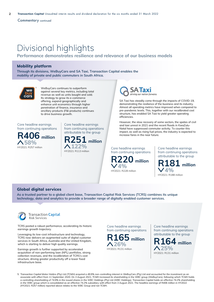Commentary continued

# Divisional highlights

**Performance demonstrates resilience and relevance of our business models**

#### **Mobility platform**

**Through its divisions, WeBuyCars and SA Taxi, Transaction Capital enables the mobility of private and public commuters in South Africa.**



WeBuyCars continues to outperform against several key metrics, including total revenue as well as units bought and sold. Its strategy to grow its e-commerce offering, expand geographically and enhance unit economics through higher penetration of finance, insurance and ancillary products (F&I products) continues to drive business growth.

Core headline earnings from continuing operations



Core headline earnings from continuing operations attributable to the group



driving our nation forward

SA Taxi has steadily come through the impacts of COVID-19, demonstrating the resilience of the business and its industry. Almost all operating metrics have improved when compared to pre-pandemic levels. This, together with our recalibrated cost structure, has enabled SA Taxi to yield greater operating efficiencies.

However, the slow recovery of some sectors, the spates of civil and taxi unrest in 2021 and the recent floods in KwaZulu-Natal have suppressed commuter activity. To counter this impact, as well as rising fuel prices, the industry is expected to increase fares in the near future.

Core headline earnings from continuing operations



Core headline earnings from continuing operations attributable to the group

**R181 million 4%** HY2021: R188 million

#### **Global digital services**

**As a trusted partner to a global client base, Transaction Capital Risk Services (TCRS) combines its unique technology, data and analytics to provide a broader range of digitally enabled customer services.**



#### **Transaction Capital Risk Services**

TCRS posted a robust performance, accelerating its historic earnings growth trajectory.

Leveraging its low-cost infrastructure and technology, TCRS now delivers an augmented suite of digital customer services in South Africa, Australia and the United Kingdom, which is starting to deliver high quality earnings.

Earnings growth is further supported by accelerated acquisition of non-performing loan (NPL) portfolios, strong collection revenues, and the recalibration of TCRS's cost structure, driving greater productivity off a lower fixed infrastructure base.

Core headline earnings from continuing operations



Core headline earnings from continuing operations attributable to the group



*5. Transaction Capital Motor Holdco (Pty) Ltd (TCMH) acquired a 49.9% non-controlling interest in WeBuyCars (Pty) Ltd and accounted for the investment as an associate with effect from 11 September 2020. On 3 August 2021, TCMH increased its shareholding in the WBC group (WeBuyCars), following which TCMH holds a controlling shareholding of 74.9% in the issued shares in the WBC Holdings (Pty) Ltd (WBC Holdings). Transaction Capital holds an effective 74.2% shareholding in the WBC group which is consolidated as an effective 74.2% subsidiary with effect from 3 August 2021. The headline earnings of R406 million in HY2022 (HY2021: R257 million) reported above relates to the WBC Group and not TCMH.*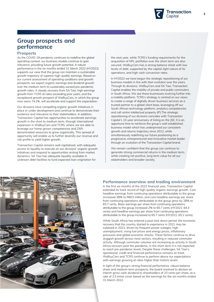

# **Group prospects and performance**

#### **Prospects**

As the COVID-19 pandemic continues to redefine the global operating context, our business models continue to gain relevance, providing future growth potential. A robust performance in the six months ended 31 March 2022 (HY2022) supports our view that the group can maintain a sustainable growth trajectory of superior high-quality earnings. Based on our current assessment of operating conditions and growth prospects, we expect organic earnings and dividend growth over the medium-term to sustainably exceed pre-pandemic growth rates. A steady recovery from SA Taxi, high earnings growth from TCRS at rates exceeding prior years, and the exceptional growth prospect of WeBuyCars, in which the group now owns 74.2%, will accelerate and support this expectation.

Our divisions have compelling organic growth initiatives in place or under development and continue to demonstrate their resilience and relevance to their stakeholders. In addition, Transaction Capital has opportunities to accelerate earnings growth in the short to medium-term, through international expansion in WeBuyCars and TCRS, where we are able to leverage our home-grown competencies and ZARdenominated resources to grow organically. This spread of opportunity will enable us to further diversify our revenue and risk profile to yield higher growth.

Transaction Capital remains well capitalised, with adequate access to liquidity to execute on our divisions' organic growth initiatives and respond to opportunities arising from market dynamics. SA Taxi has adequate liquidity available in undrawn debt facilities to fund expected loan origination for

the next year, while TCRS's funding requirements for the acquisition of NPL portfolios over the short-term are also secured. WeBuyCars has a strong balance sheet with low levels of debt, supported by the capital-light nature of its operations, and high cash conversion rates.

In HY2022 we have begun the strategic repositioning of our business models in line with their evolution over the years. Through its divisions, WeBuyCars and SA Taxi, Transaction Capital enables the mobility of private and public commuters in South Africa. We see these businesses evolving further into a mobility platform. TCRS's strategy is centred on our vision to create a range of digitally driven business services as a trusted partner to a global client base, leveraging off our South African technology platform, analytics competencies and call centre intellectual property (IP).The strategic repositioning of our divisions coincides with Transaction Capital's 10-year anniversary of listing on the JSE. It is an opportune time to reinforce the group's well-established business model which has underpinned our consistent growth and returns trajectory since 2012, while simultaneously redefining our future positioning as a progressive, entrepreneurial and innovative market leader through an evolution of the Transaction Capital brand.

We remain confident that the group can continue to generate strong commercial returns in the medium term, while creating net positive, long term value for all our stakeholders and broader society.



#### **Performance overview and trading environment**

In the first six months of the 2022 financial year, Transaction Capital extended its track record of high-quality organic earnings growth. Core headline earnings from continuing operations attributable to the group increased 38% to R603 million, and core headline earnings per share from continuing operations attributable to the group grew by 28% to 83.7 cents. Basic earnings per share from continuing operations attributable to the group increased 2% to 65.7 cents (HY2021: 64.3 cents) and headline earnings per share from continuing operations attributable to the group increased to 65.7 cents (HY2021: 65.2 cents).

While South Africa has entered a post-lock down period, the economic recovery that the country started to experience in 2021 may be subdued in 2022, driven by frequent power outages, high unemployment, rising fuel prices and energy prices, inflationary pressures and global economic shocks. These factors continue to drive sluggish growth across most sectors, resulting in reduced commuter activity. Although commuter volumes are increasing as activity in South Africa recovers post the pandemic, in the short-term it is not expected to reach pre-pandemic levels. Despite these challenges, SA Taxi's operational, credit and financial performance remains on track. WeBuyCars and TCRS continue to perform above our expectations with earnings growing at rates higher than historic levels

In light of the group's strong financial performance, robust balance sheet and medium-term prospects, the board resolved to declare an interim gross cash dividend to shareholders of 33 cents per share, at a rate of 2.5 times cover based on the earnings for the six months ended 31 March 2022.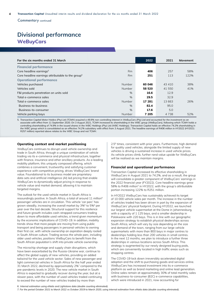#### Commentary continued

# **Divisional performance WeBuyCars**

| For the six months ended 31 March                             |           | 2022   | 2021   | Movement |
|---------------------------------------------------------------|-----------|--------|--------|----------|
| <b>Financial performance</b>                                  |           |        |        |          |
| Core headline earnings <sup>5</sup>                           | <b>Rm</b> | 406    | 257    | 58%      |
| Core headline earnings attributable to the group <sup>5</sup> | <b>Rm</b> | 251    | 113    | 122%     |
| <b>Operational performance</b>                                |           |        |        |          |
| Vehicles purchased                                            | Number    | 60 046 | 43 410 | 38%      |
| Vehicles sold                                                 | Number    | 58 520 | 41 550 | 41%      |
| F&I products penetration on units sold                        | $\%$      | 16.6   | 12.9   |          |
| Total e-commerce sales                                        | $\%$      | 29.5   | 32.9   |          |
| Total e-commerce sales                                        | Number    | 17 281 | 13 663 | 26%      |
| Business-to-business                                          | $\%$      | 82.4   | 95.0   |          |
| Business-to-consumer                                          | $\%$      | 17.6   | 5.0    |          |
| Vehicle parking bays                                          | Number    | 7 205  | 4738   | 52%      |

*5. Transaction Capital Motor Holdco (Pty) Ltd (TCMH) acquired a 49.9% non-controlling interest in WeBuyCars (Pty) Ltd and accounted for the investment as an associate with effect from 11 September 2020. On 3 August 2021, TCMH increased its shareholding in the WBC group (WeBuyCars), following which TCMH holds a*  controlling shareholding of 74.9% in the issued shares in the WBC Holdings (Pty) Ltd (WBC Holdings). Transaction Capital holds an effective 74.2% shareholding in the WBC group which is consolidated as an effective 74.2% subsidiary with effect from 3 August 2021. The headline earnings of R406 million in HY2022 (HY2021: *R257 million) reported above relates to the WBC Group and not TCMH.*

#### **Operating context and market positioning**

WeBuyCars continues to disrupt used vehicle ownership and trade in South Africa, through a unique combination of vehicle trading via its e-commerce and physical infrastructure, together with finance, insurance and other ancillary products. As a leading mobility platform, this uniquely composed offering, which combines a convenient, trustworthy and satisfying customer experience with competitive pricing, drives WeBuyCars' brand value. Foundational to its business model are proprietary data sets and artificial intelligence (AI) led pricing that enable WeBuyCars to dynamically adjust pricing in response to vehicle value and market demand, allowing it to maintain targeted margins.

The outlook for the used vehicle market in South Africa is resoundingly positive. In South Africa, a total of around 11 million<sup>6</sup> passenger vehicles are in circulation. This vehicle 'car parc' has grown steadily, increasing the overall market by 3%6 to 5%6 per year over the last decade. Structural support for this resilience and future growth includes cash-strapped consumers trading down to more affordable used vehicles, a trend given momentum by the economic implications of COVID-19. In addition, mobility trends show that more people are moving from using public transport and being passengers in personal vehicles to owning their first car, with vehicle ownership an aspiration deeply rooted in South African culture. Trading across the whole parc, including older used vehicles, positions WeBuyCars to benefit from the South African population's shift into private vehicle ownership.

The microchip shortage and supply chain disruptions, which have been exacerbated by the Russia-Ukraine war, continue to affect the global supply of new vehicles, providing an added tailwind for the used vehicle sector. Sales of new passenger and light commercial vehicles in South Africa for the half year ended 31 March 2022, declined by approximately 2%7 compared to the pre-pandemic levels in 2020. The new vehicle market in South Africa is expected to gradually recover during the year, but at a slower pace, with the number of used vehicles traded continuing to exceed the number of new vehicles traded by more than

2.5<sup>6</sup> times, consistent with prior years. Furthermore, high demand for quality used vehicles, alongside the limited supply of new vehicles is driving a sustained increase in used vehicle prices. As vehicle prices climb, further rand value upside for WeBuyCars will be realised as we maintain margins.

#### **Financial and operational performance**

Transaction Capital increased its effective shareholding in WeBuyCars in August 2021 to 74.2%, and as a result, the group will consolidate a greater component of WeBuyCars' earnings in the 2022 financial year (FY2022). Core headline earnings grew 58% to R406 million<sup>5</sup> in HY2022, with the group's attributable portion increasing 122% to R251 million.

In HY2022 WeBuyCars has sustainably achieved its target of 10 000 vehicle sales per month. The increase in the number of vehicles traded has been driven in part by the expansion of WeBuyCars' physical footprint. During HY2022, we launched our largest vehicle supermarket at the Dome in Johannesburg, with a capacity of 1 125 bays, and a smaller dealership in Polokwane with 220 bays. This is in line with our geographic expansion strategy to establish physical dealerships across South Africa, which will vary by size depending on the size and demand of the town, ranging from our large vehicle supermarkets with more than 800 bays in major centres to dealerships holding less than 200 vehicles in small centres. In the next 12 months, we plan to introduce a further three dealerships in various locations across South Africa. This strategy is augmented by our newly designed buying pods, which are conveniently located in high traffic areas such as shopping centres.

The COVID-19 lock down irreversibly accelerated digital adoption and the shift to purchasing goods and services online. WeBuyCars has increased investment into its e-commerce platform as well as brand marketing and online lead generation. Online sales remain at approximately 30% of total monthly sales with business-to-consumer (B2C) e-commerce capabilities, which were introduced in 2021, now accounting for

*6. Internal estimation using eNatis and Lightstone data (double counting eliminated).*

*7. For the period October 2021 to March 2022 vs October 2019 to March 2020, using internal estimation from eNatis data (double counting eliminated).*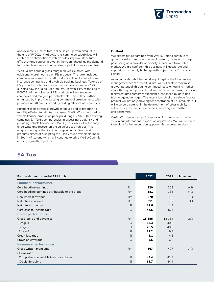

approximately 18% of total online sales, up from circa 8% at the end of FY2021. WeBuyCars' e-commerce capabilities will enable the optimisation of vehicle sales, improve stock turn efficiency and support growth in the years ahead, as the demand for contactless services on credible digital platforms escalates.

WeBuyCars earns a gross margin on vehicle sales, with additional margin earned on F&I products. The latter includes commissions earned from F&I products sold on behalf of banks, insurance companies and a vehicle tracking business. Take-up of F&I products continues to increase, with approximately 17% of all sales now including F&I products, up from 14% at the end of FY2021. Higher take-up of F&I products will enhance unit economics and margins per vehicle sold. This will be further enhanced by improving existing commercial arrangements with providers of F&I products and by adding relevant new products.

Pursuant to its strategic growth initiatives and to broaden its mobility offering to private consumers, WeBuyCars launched its vehicle finance product as principal during HY2022. This offering combines SA Taxi's competencies in assessing credit risk and providing vehicle finance, and WeBuyCars' ability to efficiently underwrite and recover on the value of used vehicles. This unique offering, is the first in a range of innovative mobility products aimed at disrupting the used vehicle ownership model in South Africa and which will continue to drive WeBuyCars high earnings growth trajectory.

#### **Outlook**

We expect future earnings from WeBuyCars to continue to grow at similar rates over the medium-term, given its strategic positioning as a provider of mobility service in a favourable market. We are confident this business will accelerate and support a sustainably higher growth trajectory for Transaction Capital.

As majority shareholders, working alongside the founders and management team of WeBuyCars, we will seek to maximise growth potential, through a continued focus on gaining market share through our physical and e-commerce platforms, by driving a differentiated customer experience, enhanced by data and technology advantages. The recent launch of our vehicle finance product will not only drive higher penetration of F&I products, but will also be a catalyst in the development of other mobility solutions for private vehicle owners, enabling even better unit economics.

WeBuyCars' recent organic expansion into Morocco is the first step in our international expansion aspirations. We will continue to explore further expansion opportunities in select markets.

## **SA Taxi**

| For the six months ended 31 March                |           | 2022   | 2021   | Movement |
|--------------------------------------------------|-----------|--------|--------|----------|
| <b>Financial performance</b>                     |           |        |        |          |
| Core headline earnings                           | <b>Rm</b> | 220    | 228    | (4%)     |
| Core headline earnings attributable to the group | <b>Rm</b> | 181    | 188    | (4%)     |
| Non-interest revenue                             | <b>Rm</b> | 370    | 366    | 1%       |
| Net interest income                              | <b>Rm</b> | 851    | 752    | 13%      |
| Net interest margin                              | $\%$      | 11.6   | 11.8   |          |
| Core cost-to-income ratio                        | $\%$      | 44.5   | 46.1   |          |
| <b>Credit performance</b>                        |           |        |        |          |
| Gross loans and advances                         | <b>Rm</b> | 15 555 | 13 154 | 18%      |
| Stage 1                                          | $\%$      | 53.3   | 40.2   |          |
| Stage 2                                          | $\%$      | 25.5   | 40.0   |          |
| Stage 3                                          | $\%$      | 21.2   | 19.8   |          |
| Credit loss ratio                                | $\%$      | 5.1    | 4.6    |          |
| Provision coverage                               | $\%$      | 5.5    | 6.0    |          |
| <b>Insurance performance</b>                     |           |        |        |          |
| Gross written premiums                           | <b>Rm</b> | 567    | 497    | 14%      |
| Claims ratio                                     |           |        |        |          |
| Comprehensive vehicle insurance claims           | $\%$      | 43.4   | 41.3   |          |
| Credit life claims                               | $\%$      | 63.7   | 84.4   |          |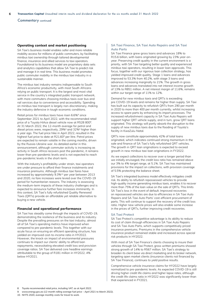Commentary continued

#### **Operating context and market positioning**

SA Taxi's business model enables safer and more reliable mobility access for millions of public commuters, by facilitating minibus taxi ownership through tailored developmental finance, insurance and allied services to taxi operators. Foundational to its business model are proprietary data sets and analytics capabilities that allow SA Taxi to predict risk and manage it in real time. This business model promotes public commuter mobility in the minibus taxi industry in a sustainable manner.

The minibus taxi industry remains indispensable to South Africa's economic productivity, with most South Africans relying on public transport. It is the largest and most vital service in the country's integrated public transport network, with more commuters choosing minibus taxis over bus and rail services due to convenience and accessibility. Spending on minibus taxi transport is largely non-discretionary, making the industry defensive in tough economic conditions.

Retail prices for minibus taxis have risen 6.6%<sup>8</sup> since September 2021 to April 2022, with the recommended retail price of a Toyota HiAce diesel vehicle now at R528 800<sup>8</sup>. At 31 March 2022, the 12-month average for petrol and diesel prices were, respectively, 29%9 and 32%9 higher than a year ago. The fuel price hike in April 2022, resulted in the highest fuel price to date at R21.609 per litre. Petrol prices are expected to remain volatile in the coming months, driven by the Russia-Ukraine war. As detailed earlier in this announcement, although commuter activity is increasing as activity in South Africa recovers post the pandemic, it remains lower than pre-pandemic levels and is not expected to reach pre-pandemic levels in the short-term.

With the industry's profitability under strain, taxi operators are under pressure to afford their finance instalments and insurance premiums. Although minibus taxi fares have increased by approximately 9.3%10 per year between 2013 and 2020, no fare increases were levied over the COVID-19 period for humanitarian reasons. The industry is assessing the medium-term impacts of these industry challenges and is expected to announce further fare increases imminently. In this context, SA Taxi's fully refurbished Quality Renewed Taxis (QRTs) provide an affordable yet reliable alternative to buying a new vehicle.

#### **Financial and operational performance**

SA Taxi has steadily come through the impacts of COVID-19, demonstrating the resilience of the business and its industry. Despite the prevailing pressures on the taxi industry, almost all of SA Taxi's operating metrics have improved when compared to pre-pandemic levels. This together with our acute focus on ensuring an efficient operating structure, has yielded an improved cost-to-income ratio in HY2022. However, the knock-on impact of environmental pressures continues to impact our clients' ability to afford loan repayments, necessitating elevated credit loss and provision coverage ratios. SA Taxi delivered core headline earnings attributable to the group of R181 million in HY2022, 4% below HY2021.

#### **SA Taxi Finance, SA Taxi Auto Repairs and SA Taxi Auto Parts**

SA Taxi Finance grew gross loans and advances 18% to R15.6 billion, with loans originated growing by 23% year-onyear. Preserving credit quality in the current environment is a priority, with SA Taxi targeting better quality and experienced minibus taxi operators, resulting in lower loan approvals. This focus, together with our rigorous loan collection strategy, has yielded improved credit quality. Stage 1 loans and advances improved to 53.3% from 40.2%, with stage 3 loans and advances increasing marginally to 21%. The growth in gross loans and advances translated into net interest income growth of 13% to R851 million. A net interest margin of 11.6%, remains within our target range of 11% to 12%.

Demand for new minibus taxis and QRTs is exceeding pre COVID-19 levels and remains far higher than supply. SA Taxi has built out its capacity to refurbish QRTs from 290 per month in 2020 to more than 400 per month currently, whilst increasing access to spare parts by enhancing its import processes. The increased refurbishment capacity in SA Taxi Auto Repairs will support higher QRT vehicle supply, and in turn, grow QRT loans originated. This strategy will partly absorb the disruption to the supply of new minibus taxis due to the flooding of Toyota's facility in KwaZulu-Natal.

QRTs now constitute approximately 42% of total loans originated, which indicates continued strong momentum in the sale and finance of SA Taxi's fully refurbished QRT vehicles. The growth in QRT loan originations is expected to exceed growth in new minibus taxi loan originations in FY2022.

As we expect collections to recover over a longer period than we initially envisaged, the credit loss ratio has remained above our 3% to 4% target range, at 5.1%. SA Taxi has maintained provisions for the impact on collections, with provision coverage of 5.5% protecting the balance sheet.

SA Taxi's integrated business model effectively mitigates credit risk. Its ability to refurbish repossessed vehicles to provide high-quality income generating minibus taxis, enables it to recover more than 75% of the loan value on the sale of QRTs. This limits SA Taxi's loss in the event of default. Improved recoveries on repossessed vehicles are due to efficiencies in SA Taxi Auto Repairs and SA Taxi Auto Parts' cost-efficient procurement of parts. This will continue to support the recovery of the credit loss ratio. Higher new vehicle prices will also enable some increase in the prices of QRTs, further improving credit recoveries.

#### **SA Taxi Protect**

SA Taxi Protect's competitive advantage is its ability to reduce its cost of claim through efficiencies in SA Taxi Auto Repairs and SA Taxi Auto Parts, which supports competitively priced insurance premiums. Premiums in the comprehensive vehicle insurance product remained stable and increased across special risk products in HY2022.

With most of SA Taxi Finance's clients choosing to insure their vehicles through SA Taxi Protect, gross written premiums showed strong growth of 14% to R567 million. SA Taxi's strategy to broaden its client base via direct marketing and its broker network, targeting open market clients (insurance clients not financed by SA Taxi Finance), continues to yield positive results.

Comprehensive vehicle insurance claims for HY2022 have largely normalized to pre-pandemic levels. As expected COVID-19 is still driving higher credit life claims and higher lapse rates, although the credit life claims ratio in HY2022 was significantly lower than that experienced in FY2021.

*8. Toyota recommended retail price, including VAT, as at April 2022.*

*9. www.energy.gov.za (12-month rolling average fuel price – April 2021 to March 2022).*

*10. NHTS 2020, average monthly costs for travel to work.*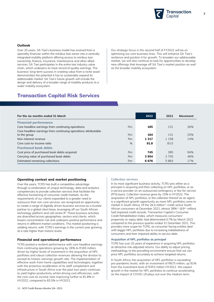#### **Outlook**

Over 20 years, SA Taxi's business model has evolved from a speciality financier within the minibus taxi sector into a vertically integrated mobility platform offering access to minibus taxi ownership, finance, insurance, maintenance and other allied services. SA Taxi participates in the entire taxi industry value chain, which underpins its track record of quality earnings. The business' long-term success in creating value from a niche asset demonstrates the potential it has to sustainably expand its addressable market. SA Taxi's future growth will include the design and delivery of a broader range of mobility products to a wider mobility ecosystem.

# **Transaction Capital Risk Services**

Our strategic focus in the second half of FY2022 will be on optimising our core business lines. This will enhance SA Taxi's resilience and position it for growth. To broaden our addressable market, we will also continue to look for opportunities to develop new offerings that leverage off SA Taxi's market position as well as the broader mobility ecosystem.

| For the six months ended 31 March                              |                | 2022    | 2021    | Movement |
|----------------------------------------------------------------|----------------|---------|---------|----------|
| <b>Financial performance</b>                                   |                |         |         |          |
| Core headline earnings from continuing operations              | R <sub>m</sub> | 165     | 131     | 26%      |
| Core headline earnings from continuing operations attributable |                |         |         |          |
| to the group                                                   | <b>Rm</b>      | 164     | 131     | 25%      |
| Non-interest revenue                                           | R <sub>m</sub> | 1 3 1 7 | 1 1 5 8 | 14%      |
| Core cost-to-income ratio                                      | $\%$           | 81.8    | 83.5    |          |
| <b>Purchased book debts</b>                                    |                |         |         |          |
| Cost price of purchased book debts acquired                    | R <sub>m</sub> | 745     | 385     | 94%      |
| Carrying value of purchased book debts                         | R <sub>m</sub> | 3954    | 2 7 0 5 | 46%      |
| Estimated remaining collections                                | <b>Rm</b>      | 6876    | 5883    | 17%      |

#### **Operating context and market positioning**

Over the years, TCRS has built a competitive advantage through a combination of unique technology, data and analytics competencies to provide collection services that facilitate the effective functioning of consumer credit markets. As the requirements of our clients expanded to a greater need to outsource their non-core services, we recognised an opportunity to create a range of digitally driven business services as a trusted partner to a global client base, leveraging off our South African technology platform and call centre IP. These business activities are diversified across geographies, sectors and clients, which lowers concentration risk and underpins positive performance and returns in different market conditions. This market positioning is yielding returns, with TCRS's earnings in the current year growing at a rate higher than historic levels.

#### **Financial and operational performance**

TCRS posted a resilient performance with core headline earnings from continuing operations growing by 26% to R165 million, driven by higher levels of investment in the acquisition of NPL portfolios and robust collection revenues allowing the division to exceed its historic earnings growth rate. The implementation of effective work-from-home capabilities and technologies, together with the proactive recalibration of its staff complement and infrastructure in South Africa over the past two years continues to yield higher productivity whilst driving cost efficiencies, with the core cost-to-income ratio improving further to 81.8% in HY2022, compared to 83.5% in HY2021.

#### **Collection services**

In its most significant business activity, TCRS acts either as a principal in acquiring and then collecting on NPL portfolios, or as a service provider on an outsourced contingency or fee-for-service (FFS) basis. Collection revenue grew by 15% in HY2022. The acquisition of NPL portfolios, or the collection thereof as an agent, is a significant growth opportunity as more NPL portfolios come to market in South Africa. Of the 26.4 million<sup>11</sup> credit-active South African consumers at December 2021, almost 38%11 (9.911 million) had impaired credit records. Transaction Capital's Consumer Credit Rehabilitation Index, which measures consumers' propensity to repay debt, had deteriorated 0.7% by March 2022 compared to the previous quarter ended 31 December 2021. This provides more scope for TCRS, as consumer facing entities deal with bigger NPL portfolios due to increasing indebtedness of consumers and their impaired ability to service debt.

#### **Acquisition of NPL portfolios as principal**

TCRS has over 20 years of experience in acquiring NPL portfolios at attractive risk-adjusted returns. Our ability to adjust pricing methodology to the prevailing environment ensure that we can price NPL portfolios accurately to achieve targeted returns.

In South Africa, the acquisition of NPL portfolios is exceeding pre-pandemic levels, with an investment of R675 million, up 91% from the investment level of R353 million HY2021. We expect growth in the market for NPL portfolios to continue accelerating as the impact of COVID-19 plays out over the medium term.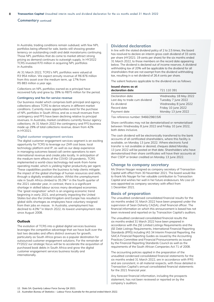#### Commentary continued

In Australia, trading conditions remain subdued, with few NPL portfolios being offered for sale, banks still showing greater leniency on outstanding credit and debt moratoriums continuing. Those NPL portfolios that do come to market attract strong pricing as demand continues to outweigh supply. In HY2022 TCRS invested R70 million in acquiring NPL portfolios in Australia.

At 31 March 2022, TCRS's NPL portfolios were valued at R3 954 million. We expect annuity revenue of R6 876 million from this asset over the medium term, up 17% from R5 883 million a year ago.

Collections on NPL portfolios owned as a principal have recovered fully and grew by 39% to R875 million for the period.

#### **Contingency and fee-for-service revenue**

Our business model which comprises both principal and agency collections allows TCRS to derive returns in different market conditions. Currently more opportunities exist for the purchase of NPL portfolios in South Africa, and as a result revenues from contingency and FFS have been declining relative to principal revenues. In Australia, market conditions currently favour agency collections. At 31 March 2022 the contingency and FFS business made up 29% of total collections revenue, down from 42% in HY2021.

#### **Digital customer engagement services**

The digital customer engagement services segment is an exciting opportunity for TCRS to leverage our ZAR cost base, local technology platform and IP, as well as our deep experience in managing outcomes-based call centre operations to earn international revenue and create jobs locally. In anticipation of the medium-term effects of the COVID-19 pandemic, TCRS implemented a world-class technology-led work-from-home operating model, which is yielding higher productivity per agent. These capabilities position the business to help clients mitigate the impact of the global shortage of human resources and skills, through a digitally enabled solution. Whilst the unemployment rate in South Africa climbed to 35.3%12 in the fourth quarter of the 2021 calendar year, in contrast, there is a significant shortage in skilled labour across many developed economies. The 'great resignation' which is an ongoing economic trend beginning in early 2021, and primarily impacting the United States but also the United Kingdom and Europe has resulted in global skills shortages as employees have voluntary resigned from their jobs en masse. In Australia, unemployment has declined to 4.0%13 in March 2022, its lowest unemployment rate since August 2008.

#### **Outlook**

The evolution of TCRS into a global digital services business leverages the competitive advantage that we have built over the last two decades and offers distinct avenues for growth, particularly as South Africa grows as a popular destination for outsourced customer engagement solutions. For the remainder of FY2022 our strategic focus will be to accelerate the acquisition of purchased book debts in South Africa and grow the digital customer engagement services business locally and internationally.

#### **Dividend declaration**

In line with the stated dividend policy of 2 to 2.5 times, the board has resolved to declare an interim gross cash dividend of 33 cents per share (HY2021: 19 cents per share) for the six months ended 31 March 2022, to those members on the record date appearing below. The dividend is declared out of income reserves. A dividend withholding tax of 20% will be applicable to the dividend for all shareholders that are not exempt from the dividend withholding tax, resulting in a net dividend of 26.4 cents per share.

The salient features applicable to the dividend are as follows:

| Issued shares as at<br>declaration date | 721 110 391           |
|-----------------------------------------|-----------------------|
| Declaration date                        | Wednesday 18 May 2022 |
| Last day to trade cum dividend          | Tuesday 7 June 2022   |
| Ex-dividend                             | Wednesday 8 June 2022 |
| Record date                             | Friday 10 June 2022   |
| Payment date                            | Monday 13 June 2022   |

*Tax reference number: 9466/298/15/6*

Share certificates may not be dematerialised or rematerialised between Wednesday 8 June 2022 and Friday 10 June 2022, both dates inclusive.

The cash dividend will be electronically transferred to the bank accounts of all certificated shareholders, where this facility is available, on Monday 13 June 2022. Where electronic fund transfer is not available or desired, cheques dated Monday 13 June 2022 will be posted on that date. Shareholders who have dematerialised their share certificates will have their accounts at their CSDP or broker credited on Monday 13 June 2022.

#### **Change to company secretary**

Ms Sharon Nayger resigned as company secretary of Transaction Capital with effect from 30 November 2021. The board would like to thank Ms Nayger for her valuable contribution to Transaction Capital and wishes her well in her future endeavours. Ms Lisa Lill was appointed as company secretary with effect from 1 December 2021.

#### **Basis of preparation**

The unaudited condensed consolidated financial results for the six months ended 31 March 2022 have been prepared under the supervision of Sean Doherty CA(SA), chief financial officer. The financial information on which this announcement is based has not been reviewed and reported on by Transaction Capital's auditors.

The unaudited condensed consolidated financial results the six months ended 31 March 2022 have been prepared in accordance with the JSE Limited Listings Requirements and the JSE Debt Listings Requirements, International Financial Reporting Standards (IFRS) including IAS 34 Interim Financial Reporting, the SAICA Financial Reporting Guides as issued by the Accounting Practices Committee and Financial Pronouncements as issued by the Financial Reporting Standards Council as well as the requirements of the South African Companies Act 71 of 2008.

The accounting policies applied in the preparation of the unaudited condensed consolidated financial statements for the six months ended 31 March 2022, are in accordance with IFRS and are consistent, in all material respects, with those detailed in Transaction Capital's annual consolidated financial statements for the 2021 financial year.

Any forecast financial information, including the prospects statement, has not been reviewed or reported on by the company's auditors.

*13. Australian Bureau of Statistics – Labour Force Australia for the period ended March 2022.*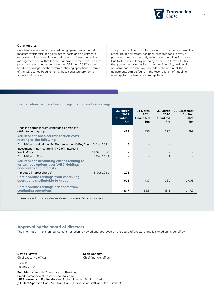

#### **Core results**

Core headline earnings from continuing operations is a non-IFRS measure which excludes gains/losses, costs and adjustments associated with acquisitions and disposals of investments. It is management's view that the most appropriate metric to measure performance for the six months ended 31 March 2022 is core headline earnings per share from continuing operations. In terms of the JSE Listings Requirements, these constitute pro forma financial information.

This pro forma financial information, which is the responsibility of the group's directors, has been prepared for illustrative purposes to more accurately reflect operational performance. Due to its nature, it may not fairly present, in terms of IFRS, the group's financial position, changes in equity, and results of operations or cash flows. Details of the nature of these adjustments can be found in the reconciliation of headline earnings to core headline earnings below.

#### **Reconciliation from headline earnings to core headline earnings**

|                                                                                                                    |             | 31 March<br>2022<br><b>Unaudited</b><br><b>Rm</b> | 31 March<br>2021<br><b>Unaudited</b><br>Rm | 31 March<br>2020<br><b>Unaudited</b><br><b>Rm</b> | 30 September<br><b>Audited</b><br>2021<br>Rm |
|--------------------------------------------------------------------------------------------------------------------|-------------|---------------------------------------------------|--------------------------------------------|---------------------------------------------------|----------------------------------------------|
| Headline earnings from continuing operations<br>attributable to group                                              |             | 473                                               | 435                                        | 277                                               | 999                                          |
| <b>Adjusted for once-off transaction costs</b><br>relating to the following:                                       |             |                                                   |                                            |                                                   |                                              |
| Acquisition of additional 24.3% interest in WeBuyCars                                                              | 3 Aug 2021  | 5                                                 |                                            |                                                   | $\overline{4}$                               |
| Investment in non-controlling 49.9% interest in<br><b>WeBuyCars</b>                                                | 11 Sep 2020 |                                                   | $\overline{2}$                             |                                                   | $\overline{2}$                               |
| Acquisition of Fihrst                                                                                              | 1 Dec 2019  |                                                   |                                            | $\overline{4}$                                    |                                              |
| Adjusted for accounting entries relating to<br>written put options over WBC Holdings<br>non-controlling interests: |             |                                                   |                                            |                                                   |                                              |
| Imputed interest charge*                                                                                           | 5 Oct 2021  | 125                                               |                                            |                                                   |                                              |
| <b>Core headline earnings from continuing</b><br>operations attributable to group                                  |             | 603                                               | 437                                        | 281                                               | 1,005                                        |
| Core headline earnings per share from<br>continuing operations                                                     |             | 83.7                                              | 65.5                                       | 45.8                                              | 147.9                                        |

*\* Refer to note 2 of the unaudited condensed consolidated financial statements.*

#### **Approval by the board of directors**

The information in this announcement has been reviewed and approved by the board of directors, and is signed on its behalf by:

Hyde Park 18 May 2022

**David Hurwitz Sean Doherty** Chief executive officer Chief financial officer

**Enquiries:** Nomonde Xulu – Investor Relations **Email:** nomondex@transactioncapital.co.za **JSE Sponsor and Equity Markets Broker:** Investec Bank Limited **JSE Debt Sponsor:** Rand Merchant Bank (A division of FirstRand Bank Limited)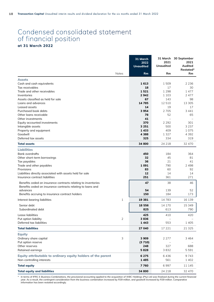# <span id="page-11-0"></span>Condensed consolidated statement of financial position **at 31 March 2022**

|                                                                                                                              | <b>Notes</b>   | 31 March<br>2022<br><b>Unaudited</b><br><b>Rm</b> | 2021<br><b>Unaudited</b><br>Rm | 31 March 30 September<br>2021<br><b>Audited</b><br>Restated*<br><b>Rm</b> |
|------------------------------------------------------------------------------------------------------------------------------|----------------|---------------------------------------------------|--------------------------------|---------------------------------------------------------------------------|
| <b>Assets</b>                                                                                                                |                |                                                   |                                |                                                                           |
| Cash and cash equivalents                                                                                                    |                | 1613                                              | 1509                           | 2 2 3 6                                                                   |
| Tax receivables                                                                                                              |                | 18                                                | 17                             | 30                                                                        |
| Trade and other receivables                                                                                                  |                | 1521                                              | 1 2 9 8                        | 1 477                                                                     |
| Inventories                                                                                                                  |                | 2942                                              | 1 1 0 3                        | 2 4 7 7                                                                   |
| Assets classified as held for sale                                                                                           |                | 67                                                | 143                            | 98                                                                        |
| Loans and advances                                                                                                           |                | 14 785                                            | 12 510                         | 13 3 05                                                                   |
| Leased assets                                                                                                                |                | 14                                                | 19                             | 17                                                                        |
| Purchased book debts                                                                                                         |                | 3954                                              | 2705                           | 3 4 4 1                                                                   |
| Other loans receivable                                                                                                       |                | 78                                                | 52                             | 65                                                                        |
| Other investments                                                                                                            |                | 41                                                |                                |                                                                           |
| Equity accounted investments                                                                                                 |                | 370                                               | 2 2 9 2                        | 301                                                                       |
| Intangible assets                                                                                                            |                | 3 2 5 1                                           | 500                            | 3 2 3 7                                                                   |
| Property and equipment                                                                                                       |                | 1433                                              | 409                            | 1075                                                                      |
| Goodwill                                                                                                                     |                | 4 3 8 8                                           | 1 3 2 7                        | 4 3 9 2                                                                   |
| Deferred tax assets                                                                                                          |                | 325                                               | 334                            | 319                                                                       |
| <b>Total assets</b>                                                                                                          |                | 34 800                                            | 24 218                         | 32 470                                                                    |
| <b>Liabilities</b>                                                                                                           |                |                                                   |                                |                                                                           |
| <b>Bank overdrafts</b>                                                                                                       |                | 450                                               | 184                            | 364                                                                       |
| Other short-term borrowings                                                                                                  |                | 32                                                | 45                             | 81                                                                        |
| Tax payables                                                                                                                 |                | 36                                                | 21                             | 41                                                                        |
| Trade and other payables                                                                                                     |                | 1091                                              | 790                            | 2 4 9 8                                                                   |
| Provisions                                                                                                                   |                | 83                                                | 60                             | 92                                                                        |
| Liabilities directly associated with assets held for sale                                                                    |                | 12                                                | 14                             | 14                                                                        |
| Insurance contract liabilities                                                                                               |                | 251                                               | 361                            | 271                                                                       |
| Benefits ceded on insurance contracts relating to inventories<br>Benefits ceded on insurance contracts relating to loans and |                | 47                                                | 38                             | 46                                                                        |
| advances                                                                                                                     |                | 54                                                | 139                            | 52                                                                        |
| Benefits accruing to insurance contract holders                                                                              |                | 150                                               | 184                            | 173                                                                       |
| Interest-bearing liabilities                                                                                                 | $\mathbf{1}$   | 19 381                                            | 14 783                         | 16 139                                                                    |
| Senior debt                                                                                                                  |                | 18 556                                            | 14 170                         | 15 349                                                                    |
| Subordinated debt                                                                                                            |                | 825                                               | 613                            | 790                                                                       |
| Lease liabilities                                                                                                            |                | 425                                               | 410                            | 420                                                                       |
| Put option liability                                                                                                         | $\overline{2}$ | 3836                                              |                                |                                                                           |
| Deferred tax liabilities                                                                                                     |                | 1 4 4 3                                           | 553                            | 1 4 0 5                                                                   |
| <b>Total liabilities</b>                                                                                                     |                | 27 040                                            | 17 221                         | 21 3 25                                                                   |
| <b>Equity</b>                                                                                                                |                |                                                   |                                |                                                                           |
| Ordinary share capital                                                                                                       | 3              | 3 9 0 9                                           | 2 277                          | 3464                                                                      |
| Put option reserve                                                                                                           |                | (3710)                                            |                                |                                                                           |
| Other reserves                                                                                                               |                | 248                                               | 327                            | 688                                                                       |
| Retained earnings                                                                                                            |                | 5828                                              | 3832                           | 5 5 9 1                                                                   |
| Equity attributable to ordinary equity holders of the parent                                                                 |                | 6 2 7 5                                           | 6436                           | 9 7 4 3                                                                   |
| Non-controlling interests                                                                                                    |                | 1 4 8 5                                           | 561                            | 1 4 0 2                                                                   |
| <b>Total equity</b>                                                                                                          |                | 7760                                              | 6997                           | 11 145                                                                    |
|                                                                                                                              |                |                                                   |                                |                                                                           |
| <b>Total equity and liabilities</b>                                                                                          |                | 34 800                                            | 24 218                         | 32 470                                                                    |

*\* In terms of IFRS 3: Business Combinations, the provisional accounting applied to the acquisition of WBC Holdings (Pty) Ltd was finalised during the current financial*  year. As a result, the contingent consideration from the business combination increased by R39 million, and goodwill increased by R39 million. Comparative *information has been restated accordingly.*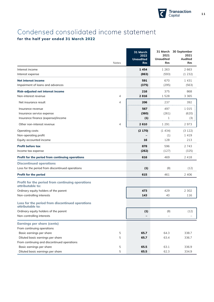

# <span id="page-12-0"></span>Condensed consolidated income statement

## **for the half year ended 31 March 2022**

|                                                                      | Notes          | 31 March<br>2022<br><b>Unaudited</b><br>Rm | 31 March<br>2021<br><b>Unaudited</b><br>Rm | 30 September<br>2021<br><b>Audited</b><br>Rm |
|----------------------------------------------------------------------|----------------|--------------------------------------------|--------------------------------------------|----------------------------------------------|
| Interest income                                                      |                | 1454                                       | 1 2 6 3                                    | 2 6 6 3                                      |
| Interest expense                                                     |                | (863)                                      | (593)                                      | (1 232)                                      |
| <b>Net interest income</b>                                           |                | 591                                        | 670                                        | 1431                                         |
| Impairment of loans and advances                                     |                | (375)                                      | (295)                                      | (563)                                        |
| Risk-adjusted net interest income                                    |                | 216                                        | 375                                        | 868                                          |
| Non-interest revenue                                                 | $\overline{4}$ | 2816                                       | 1528                                       | 3 3 6 5                                      |
| Net insurance result                                                 | 4              | 206                                        | 237                                        | 392                                          |
| Insurance revenue                                                    |                | 567                                        | 497                                        | 1015                                         |
| Insurance service expense                                            |                | (360)                                      | (261)                                      | (620)                                        |
| Insurance finance (expense)/income                                   |                | (1)                                        | 1                                          | (3)                                          |
| Other non-interest revenue                                           | 4              | 2610                                       | 1 2 9 1                                    | 2973                                         |
| Operating costs                                                      |                | (2 170)                                    | (1434)                                     | (3 122)                                      |
| Non-operating profit                                                 |                |                                            | (1)                                        | 1419                                         |
| Equity accounted income                                              |                | 16                                         | 128                                        | 213                                          |
| <b>Profit before tax</b>                                             |                | 878                                        | 596                                        | 2743                                         |
| Income tax expense                                                   |                | (262)                                      | (127)                                      | (325)                                        |
| Profit for the period from continuing operations                     |                | 616                                        | 469                                        | 2418                                         |
| <b>Discontinued operations</b>                                       |                |                                            |                                            |                                              |
| Loss for the period from discontinued operations                     |                | (1)                                        | (8)                                        | (12)                                         |
| <b>Profit for the period</b>                                         |                | 615                                        | 461                                        | 2 4 0 6                                      |
| Profit for the period from continuing operations<br>attributable to: |                |                                            |                                            |                                              |
| Ordinary equity holders of the parent                                |                | 473                                        | 429                                        | 2 3 0 2                                      |
| Non-controlling interests                                            |                | 143                                        | 40                                         | 116                                          |
| Loss for the period from discontinued operations<br>attributable to: |                |                                            |                                            |                                              |
| Ordinary equity holders of the parent                                |                | (1)                                        | (8)                                        | (12)                                         |
| Non-controlling interests                                            |                |                                            |                                            |                                              |
| <b>Earnings per share (cents)</b>                                    |                |                                            |                                            |                                              |
| From continuing operations                                           |                |                                            |                                            |                                              |
| Basic earnings per share                                             | $\mathbf 5$    | 65.7                                       | 64.3                                       | 338.7                                        |
| Diluted basic earnings per share                                     | 5              | 65.7                                       | 63.4                                       | 336.7                                        |
| From continuing and discontinued operations                          |                |                                            |                                            |                                              |
| Basic earnings per share                                             | 5              | 65.5                                       | 63.1                                       | 336.9                                        |
| Diluted basic earnings per share                                     | 5              | 65.5                                       | 62.3                                       | 334.9                                        |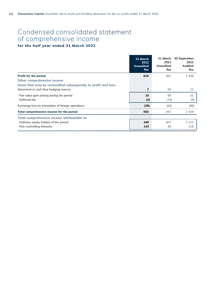# <span id="page-13-0"></span>Condensed consolidated statement of comprehensive income

**for the half year ended 31 March 2022** 

|                                                                 | 31 March<br>2022<br><b>Unaudited</b><br>Rm | 31 March<br>2021<br><b>Unaudited</b><br>Rm | 30 September<br>2021<br><b>Audited</b><br><b>Rm</b> |
|-----------------------------------------------------------------|--------------------------------------------|--------------------------------------------|-----------------------------------------------------|
| Profit for the period                                           | 615                                        | 461                                        | 2 4 0 6                                             |
| <b>Other comprehensive income</b>                               |                                            |                                            |                                                     |
| Items that may be reclassified subsequently to profit and loss: |                                            |                                            |                                                     |
| Movement in cash flow hedging reserve                           | $\overline{7}$                             | 50                                         | 22                                                  |
| Fair value gain arising during the period                       | 10                                         | 69                                         | 31                                                  |
| Deferred tax                                                    | (3)                                        | (19)                                       | (9)                                                 |
| Exchange loss on translation of foreign operations              | (39)                                       | (64)                                       | (89)                                                |
| Total comprehensive income for the period                       | 583                                        | 447                                        | 2 3 3 9                                             |
| Total comprehensive income attributable to:                     |                                            |                                            |                                                     |
| Ordinary equity holders of the parent                           | 440                                        | 407                                        | 2 2 2 3                                             |
| Non-controlling interests                                       | 143                                        | 40                                         | 116                                                 |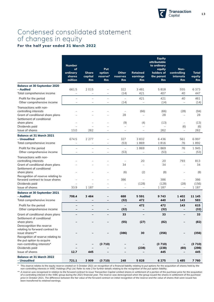

**13**

# <span id="page-14-0"></span>Condensed consolidated statement of changes in equity

**For the half year ended 31 March 2022**

|                                                                                         | of<br>ordinary<br>shares<br>million | <b>Share</b><br>capital<br><b>Rm</b>                 | Put<br>option<br>reserve*<br><b>Rm</b>     | <b>Other</b><br>reserves<br><b>Rm</b> | <b>Retained</b><br>earnings<br><b>Rm</b> | attributable<br>to ordinary<br>equity<br>holders of<br>the parent<br><b>Rm</b> | Non-<br>controlling<br><b>interests</b><br><b>Rm</b> | Total<br>equity<br><b>Rm</b> |
|-----------------------------------------------------------------------------------------|-------------------------------------|------------------------------------------------------|--------------------------------------------|---------------------------------------|------------------------------------------|--------------------------------------------------------------------------------|------------------------------------------------------|------------------------------|
| <b>Balance at 30 September 2020</b>                                                     |                                     |                                                      |                                            |                                       |                                          |                                                                                |                                                      |                              |
| - Audited                                                                               | 661.5                               | 2015                                                 |                                            | 322                                   | 3 4 8 1                                  | 5818                                                                           | 555                                                  | 6 3 7 3                      |
| Total comprehensive income                                                              | $\overbrace{\phantom{1232211}}$     |                                                      | $\overline{\phantom{a}}$                   | (14)                                  | 421                                      | 407                                                                            | 40                                                   | 447                          |
| Profit for the period<br>Other comprehensive income                                     | L.<br>$\overline{\phantom{0}}$      | $\overline{\phantom{0}}$<br>$\overline{\phantom{0}}$ | $\overline{\phantom{0}}$<br>$\overline{a}$ | $\overline{\phantom{0}}$<br>(14)      | 421<br>$\overline{\phantom{0}}$          | 421<br>(14)                                                                    | 40<br>$\overline{\phantom{0}}$                       | 461<br>(14)                  |
| Transactions with non-<br>controlling interests                                         |                                     |                                                      |                                            |                                       | (66)                                     | (66)                                                                           | (28)                                                 | (94)                         |
| Grant of conditional share plans<br>Settlement of conditional                           |                                     |                                                      |                                            | 28                                    |                                          | 28                                                                             |                                                      | 28                           |
| share plans                                                                             |                                     |                                                      |                                            | (9)                                   | (4)                                      | (13)                                                                           | $\overline{\phantom{0}}$                             | (13)                         |
| Dividends paid                                                                          |                                     |                                                      |                                            |                                       | $\overline{\phantom{0}}$                 |                                                                                | (6)                                                  | (6)                          |
| Issue of shares                                                                         | 13.0                                | 262                                                  |                                            | ۰                                     | $\overline{\phantom{0}}$                 | 262                                                                            | $\overline{\phantom{0}}$                             | 262                          |
| <b>Balance at 31 March 2021</b>                                                         |                                     |                                                      |                                            |                                       |                                          |                                                                                |                                                      |                              |
| – Unaudited                                                                             | 674.5<br>$\overline{\phantom{0}}$   | 2 2 7 7                                              | $\overline{\phantom{m}}$                   | 327<br>(53)                           | 3832<br>1869                             | 6436<br>1816                                                                   | 561<br>76                                            | 6997<br>1892                 |
| Total comprehensive income                                                              |                                     |                                                      |                                            |                                       |                                          |                                                                                |                                                      |                              |
| Profit for the period<br>Other comprehensive income                                     | -                                   |                                                      | $\overline{\phantom{m}}$                   | $\qquad \qquad -$<br>(53)             | 1869                                     | 1869<br>(53)                                                                   | 76<br>$\overline{\phantom{0}}$                       | 1945                         |
|                                                                                         |                                     |                                                      |                                            |                                       |                                          |                                                                                |                                                      | (53)                         |
| Transactions with non-<br>controlling interests                                         |                                     |                                                      |                                            |                                       | 20                                       | 20                                                                             | 793                                                  | 813                          |
| Grant of conditional share plans                                                        |                                     |                                                      |                                            | 34                                    |                                          | 34                                                                             |                                                      | 34                           |
| Settlement of conditional<br>share plans                                                |                                     |                                                      |                                            | (6)                                   | (2)                                      | (8)                                                                            | -                                                    | (8)                          |
| Recognition of reserve relating to                                                      |                                     |                                                      |                                            |                                       |                                          |                                                                                |                                                      |                              |
| forward contract to issue shares                                                        |                                     |                                                      | $\overline{\phantom{a}}$                   | 386                                   | $\overline{\phantom{0}}$                 | 386                                                                            | $\overline{\phantom{0}}$                             | 386                          |
| Dividends paid                                                                          |                                     |                                                      |                                            | $\overline{\phantom{0}}$              | (128)                                    | (128)                                                                          | (28)                                                 | (156)                        |
| Issue of shares                                                                         | 33.9                                | 1 1 8 7                                              | $\overline{\phantom{m}}$                   | $\qquad \qquad -$                     | $\overline{\phantom{0}}$                 | 1 1 8 7                                                                        | $\overline{\phantom{a}}$                             | 1 1 8 7                      |
| <b>Balance at 30 September 2021</b>                                                     |                                     |                                                      |                                            |                                       |                                          |                                                                                |                                                      |                              |
| - Audited                                                                               | 708.4                               | 3 4 6 4                                              |                                            | 688                                   | 5 5 9 1                                  | 9743                                                                           | 1402                                                 | 11 145                       |
| Total comprehensive income                                                              | $\qquad \qquad -$                   | $\overline{\phantom{0}}$                             | $\qquad \qquad -$                          | (32)                                  | 472                                      | 440                                                                            | 143                                                  | 583                          |
| Profit for the period                                                                   |                                     |                                                      |                                            |                                       | 472                                      | 472                                                                            | 143                                                  | 615                          |
| Other comprehensive income                                                              |                                     |                                                      |                                            | (32)                                  |                                          | (32)                                                                           | $\overline{\phantom{0}}$                             | (32)                         |
| Grant of conditional share plans<br>Settlement of conditional                           |                                     |                                                      |                                            | 33                                    | -                                        | 33                                                                             | -                                                    | 33                           |
| share plans<br>Derecognition the reserve                                                |                                     |                                                      |                                            | (55)                                  | (27)                                     | (82)                                                                           |                                                      | (82)                         |
| relating to forward contract to<br>issue shares**<br>Recognition of reserve relating to |                                     |                                                      |                                            | (386)                                 | 30                                       | (356)                                                                          |                                                      | (356)                        |
| the put option to acquire<br>non-controlling interests*                                 |                                     |                                                      | (3710)                                     |                                       |                                          | (3710)                                                                         |                                                      | (3710)                       |
| Dividends paid                                                                          |                                     |                                                      |                                            |                                       | (238)                                    | (238)                                                                          | (60)                                                 | (298)                        |
| Issue of shares                                                                         | 12.7                                | 445                                                  |                                            |                                       |                                          | 445                                                                            | -                                                    | 445                          |
| <b>Balance at 31 March 2022</b><br>- Unaudited                                          | 721.1                               | 3 9 0 9                                              | (3710)                                     | 248                                   | 5828                                     | 6 2 7 5                                                                        | 1485                                                 | 7760                         |

*\* This reserve relates to the equity reserve created on 5 October 2021 on recognition of a financial liability relating to put options for the acquisition of shares held by the non-controlling interests in WBC Holdings (Pty) Ltd. Refer to note 2 for further details relating to the recognition of the put option liability.*

*\*\* A reserve was recognised in relation to the forward contract to issue Transaction Capital Limited shares in settlement of a portion of the purchase price for the acquisition of a controlling interest in the WBC group during the 2021 financial year. The reserve was derecognised when the group issued the shares in settlement of the purchase price in October 2021. The difference between the fair value of the forward contract on initial recognition of the reserve and the value of shares that were issued has been transferred to retained earnings.*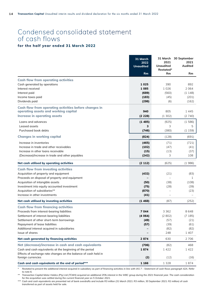# <span id="page-15-0"></span>Condensed consolidated statement of cash flows

#### **for the half year ended 31 March 2022**

|                                                                                                      | 31 March<br>2022<br><b>Unaudited</b><br><b>Rm</b> | 2021<br><b>Unaudited</b><br>Restated*<br>Rm | 31 March 30 September<br>2021<br><b>Audited</b><br>Rm |
|------------------------------------------------------------------------------------------------------|---------------------------------------------------|---------------------------------------------|-------------------------------------------------------|
| <b>Cash flow from operating activities</b>                                                           |                                                   |                                             |                                                       |
| Cash generated by operations                                                                         | 1025                                              | 390                                         | 892                                                   |
| Interest received                                                                                    | 1085                                              | 1026                                        | 2 0 6 4                                               |
| Interest paid                                                                                        | (689)                                             | (560)                                       | (1148)                                                |
| Income taxes paid                                                                                    | (183)                                             | (45)                                        | (201)                                                 |
| Dividends paid                                                                                       | (298)                                             | (6)                                         | (162)                                                 |
| <b>Cash flow from operating activities before changes in</b><br>operating assets and working capital | 940                                               | 805                                         | 1445                                                  |
| <b>Increase in operating assets</b>                                                                  | (2 228)                                           | (1302)                                      | (2740)                                                |
| Loans and advances                                                                                   | (1.485)                                           | (925)                                       | (1586)                                                |
| Leased assets                                                                                        | 3                                                 | 3                                           | 5                                                     |
| Purchased book debts                                                                                 | (746)                                             | (380)                                       | (1159)                                                |
| <b>Changes in working capital</b>                                                                    | (824)                                             | (128)                                       | (691)                                                 |
| Increase in inventories                                                                              | (465)                                             | (71)                                        | (721)                                                 |
| Increase in trade and other receivables                                                              | (102)                                             | (47)                                        | (41)                                                  |
| Increase in other loans receivable                                                                   | (15)                                              | (13)                                        | (37)                                                  |
| (Decrease)/increase in trade and other payables                                                      | (242)                                             | 3                                           | 108                                                   |
| Net cash utilised by operating activities                                                            | (2 112)                                           | (625)                                       | (1986)                                                |
| <b>Cash flow from investing activities</b>                                                           |                                                   |                                             |                                                       |
| Acquisition of property and equipment                                                                | (432)                                             | (21)                                        | (83)                                                  |
| Proceeds on disposal of property and equipment                                                       |                                                   |                                             | 1                                                     |
| Acquisition of intangible assets                                                                     | (50)                                              | (38)                                        | (108)                                                 |
| Investment into equity accounted investment                                                          | (75)                                              | (28)                                        | (39)                                                  |
| Acquisition of subsidiaries**                                                                        | (870)                                             |                                             | (23)                                                  |
| Increase in other investments                                                                        | (41)                                              |                                             | $\overline{\phantom{0}}$                              |
| Net cash utilised by investing activities                                                            | (1468)                                            | (87)                                        | (252)                                                 |
| <b>Cash flow from financing activities</b>                                                           |                                                   |                                             |                                                       |
| Proceeds from interest-bearing liabilities                                                           | 7 0 4 4                                           | 3 3 6 2                                     | 8648                                                  |
| Settlement of interest-bearing liabilities                                                           | (4064)                                            | (2802)                                      | (7185)                                                |
| Settlement of other short-term borrowings                                                            | (49)                                              | (57)                                        | (21)                                                  |
| Repayment of lease liabilities                                                                       | (57)                                              | (39)                                        | (61)                                                  |
| Additional interest acquired in subsidiaries                                                         |                                                   | (82)                                        | (82)                                                  |
| Issue of shares                                                                                      |                                                   | 248                                         | 1 407                                                 |
| Net cash generated by financing activities                                                           | 2874                                              | 630                                         | 2 7 0 6                                               |
| Net (decrease)/increase in cash and cash equivalents                                                 | (706)                                             | (82)                                        | 468                                                   |
| Cash and cash equivalents at the beginning of the period                                             | 1874                                              | 1 4 2 2                                     | 1 4 2 2                                               |
| Effects of exchange rate changes on the balance of cash held in<br>foreign currencies                | (2)                                               | (12)                                        | (16)                                                  |
| Cash and cash equivalents at the end of period***                                                    | 1 1 6 6                                           | 1 3 2 8                                     | 1874                                                  |

Restated to present the additional interest acquired in subsidiary as part of financing activities in line with IAS 7 – Statement of cash flows paragraph 42A. Refer *to note 6.*

*\*\* Transaction Capital Motor Holdco (Pty) Ltd (TCMH) acquired an additional 25% interest in the WBC group during the 2021 financial year. The cash consideration for the acquisition was settled during the current financial year on 5 October 2021.* 

*\*\*\* Cash and cash equivalents are presented net of bank overdrafts and include R3 million (31 March 2021: R3 million, 30 September 2021: R2 million) of cash transferred as part of assets held for sale.*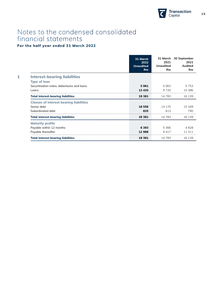

### <span id="page-16-0"></span>**For the half year ended 31 March 2022**

|                                                | 31 March<br>2022<br><b>Unaudited</b><br><b>Rm</b> | 31 March<br>2021<br><b>Unaudited</b><br><b>Rm</b> | 30 September<br>2021<br>Audited<br><b>Rm</b> |
|------------------------------------------------|---------------------------------------------------|---------------------------------------------------|----------------------------------------------|
| <b>Interest-bearing liabilities</b>            |                                                   |                                                   |                                              |
| <b>Type of loan</b>                            |                                                   |                                                   |                                              |
| Securitisation notes, debentures and loans     | 5961                                              | 5 0 63                                            | 5753                                         |
| Loans                                          | 13 4 20                                           | 9720                                              | 10 386                                       |
| <b>Total interest-bearing liabilities</b>      | 19 381                                            | 14 783                                            | 16 139                                       |
| <b>Classes of interest-bearing liabilities</b> |                                                   |                                                   |                                              |
| Senior debt                                    | 18 556                                            | 14 170                                            | 15 349                                       |
| Subordinated debt                              | 825                                               | 613                                               | 790                                          |
| <b>Total interest-bearing liabilities</b>      | 19 3 8 1                                          | 14 783                                            | 16 139                                       |
| <b>Maturity profile</b>                        |                                                   |                                                   |                                              |
| Payable within 12 months                       | 6 3 9 3                                           | 5 3 6 6                                           | 4828                                         |
| Payable thereafter                             | 12 988                                            | 9417                                              | 11 311                                       |
| <b>Total interest-bearing liabilities</b>      | 19 381                                            | 14 783                                            | 16 139                                       |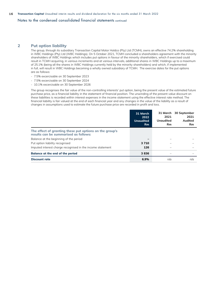#### **2 Put option liability**

The group, through its subsidiary Transaction Capital Motor Holdco (Pty) Ltd (TCMH), owns an effective 74.2% shareholding in WBC Holdings (Pty) Ltd (WBC Holdings). On 5 October 2021, TCMH concluded a shareholders agreement with the minority shareholders of WBC Holdings which includes put options in favour of the minority shareholders, which if exercised could result in TCMH acquiring, in various increments and at various intervals, additional shares in WBC Holdings up to a maximum of 25.1% (being all the shares in WBC Holdings currently held by the minority shareholders) and which, if implemented in full, will result in WBC Holdings becoming a wholly owned subsidiary of TCMH. The exercise dates for the put options are as follows:

- 7.5% excercisable on 30 September 2023
- 7.5% excercisable on 30 September 2024
- 10.1% excercisable on 30 September 2026

The group recognises the fair value of the non-controlling interests' put option, being the present value of the estimated future purchase price, as a financial liability in the statement of financial position. The unwinding of the present value discount on these liabilities is recorded within interest expenses in the income statement using the effective interest rate method. The financial liability is fair valued at the end of each financial year and any changes in the value of the liability as a result of changes in assumptions used to estimate the future purchase price are recorded in profit and loss.

|                                                                                                  | 31 March<br>2022<br><b>Unaudited</b><br><b>Rm</b> | 31 March<br>2021<br><b>Unaudited</b><br>Rm | 30 September<br>2021<br>Audited<br>Rm |
|--------------------------------------------------------------------------------------------------|---------------------------------------------------|--------------------------------------------|---------------------------------------|
| The effect of granting these put options on the group's<br>results can be summarised as follows: |                                                   |                                            |                                       |
| Balance at the beginning of the period                                                           |                                                   |                                            |                                       |
| Put option liability recognised                                                                  | 3710                                              |                                            |                                       |
| Imputed interest charge recognised in the income statement                                       | 126                                               |                                            |                                       |
| Balance at the end of the period                                                                 | 3836                                              |                                            |                                       |
| <b>Discount rate</b>                                                                             | $6.9\%$                                           | n/a                                        | n/a                                   |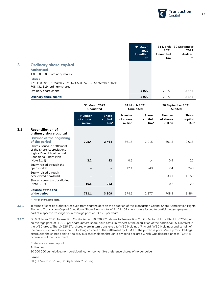

|                                                                                                                                                                                                     |                                       |                                  |                                       | 31 March<br>2022<br><b>Unaudited</b><br>Rm | 2021<br><b>Unaudited</b><br><b>Rm</b> | 31 March 30 September<br>2021<br>Audited<br><b>Rm</b> |
|-----------------------------------------------------------------------------------------------------------------------------------------------------------------------------------------------------|---------------------------------------|----------------------------------|---------------------------------------|--------------------------------------------|---------------------------------------|-------------------------------------------------------|
| <b>Ordinary share capital</b><br><b>Authorised</b><br>1 000 000 000 ordinary shares<br><b>Issued</b><br>721 110 391 (31 March 2021: 674 531 743, 30 September 2021:<br>708 431 319) ordinary shares |                                       |                                  |                                       |                                            |                                       |                                                       |
| Ordinary share capital                                                                                                                                                                              |                                       |                                  |                                       | 3 9 0 9                                    | 2 2 7 7                               | 3 4 6 4                                               |
| <b>Ordinary share capital</b>                                                                                                                                                                       |                                       |                                  |                                       | 3 9 0 9                                    | 2 2 7 7                               | 3 4 6 4                                               |
|                                                                                                                                                                                                     | 31 March 2022<br><b>Unaudited</b>     |                                  |                                       | 31 March 2021<br><b>Unaudited</b>          |                                       | 30 September 2021<br><b>Audited</b>                   |
|                                                                                                                                                                                                     | <b>Number</b><br>of shares<br>million | <b>Share</b><br>capital<br>$Rm*$ | <b>Number</b><br>of shares<br>million | Share<br>capital<br>$Rm*$                  | Number<br>of shares<br>million        | Share<br>capital<br>$Rm*$                             |
| <b>Reconciliation of</b><br>ordinary share capital<br><b>Balance at the beginning</b><br>of the period<br>Shares issued in settlement<br>of the Share Appreciations<br>Rights Plan obligation and   | 708.4                                 | 3 4 6 4                          | 6615                                  | 2015                                       | 661.5                                 | 2015                                                  |
| <b>Conditional Share Plan</b><br>(Note 3.1.1)                                                                                                                                                       | 2.2                                   | 92                               |                                       | 14<br>0.6                                  | 0.9                                   | 22                                                    |
| Equity raised through the<br>open market                                                                                                                                                            |                                       | $\qquad \qquad -$                |                                       | 12.4<br>248                                | 12.4                                  | 248                                                   |
| Equity raised through<br>accelerated bookbuild                                                                                                                                                      |                                       | -                                |                                       |                                            | 33.1                                  | 1 1 5 9                                               |
| Shares issued to subsidiaries<br>(Note 3.1.2)                                                                                                                                                       | 10.5                                  | 353                              |                                       |                                            | 0.5                                   | 20                                                    |
| <b>Balance at the end</b><br>of the period                                                                                                                                                          | 721.1                                 | 3 9 0 9                          | 674.5                                 | 2 2 7 7                                    | 708.4                                 | 3 4 6 4                                               |

*\* Net of share issue costs.*

- **3.1.1** In terms of specific authority received from shareholders on the adoption of the Transaction Capital Share Appreciation Rights Plan and Transaction Capital Conditional Share Plan, a total of 2 152 101 shares were issued to participants/employees as part of respective vestings at an average price of R42.72 per share.
- **3.1.2** On 5 October 2021 Transaction Capital issued 10 526 971 shares to Transaction Capital Motor Holdco (Pty) Ltd (TCMH) at an average price of R33.83 per share (before share issue costs) in respect of the acquisition of the additional 25% interest in the WBC group. The 10 526 971 shares were in turn transferred to WBC Holdings (Pty) Ltd (WBC Holdings) and certain of the previous shareholders in WBC Holdings as part of the settlement by TCMH of the purchase price. WeBuyCars Holdings distributed the shares paid to it to previous shareholders through a dividend declared which was declared prior to TCMH's acquisition of the investment.

#### **Preference share capital**

#### **Authorised**

10 000 000 cumulative, non-participating, non-convertible preference shares of no par value

#### **Issued**

Nil (31 March 2021: nil, 30 September 2021: nil)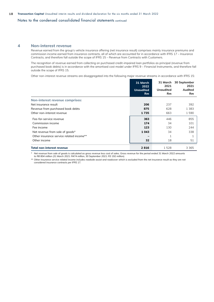#### **4 Non-interest revenue**

Revenue earned from the group's vehicle insurance offering (net insurance result) comprises mainly insurance premiums and commission income earned from insurance contracts, all of which are accounted for in accordance with IFRS 17 – Insurance Contracts, and therefore fall outside the scope of IFRS 15 – Revenue from Contracts with Customers.

The recognition of revenue earned from collecting on purchased credit-impaired loan portfolios as principal (revenue from purchased book debts) is in accordance with the amortised cost model under IFRS 9 – Financial Instruments, and therefore fall outside the scope of IFRS 15.

Other non-interest revenue streams are disaggregated into the following major revenue streams in accordance with IFRS 15:

|                                          | 31 March<br>2022<br><b>Unaudited</b><br><b>Rm</b> | 31 March<br>2021<br><b>Unaudited</b><br><b>Rm</b> | 30 September<br>2021<br>Audited<br><b>Rm</b> |
|------------------------------------------|---------------------------------------------------|---------------------------------------------------|----------------------------------------------|
| <b>Non-interest revenue comprises:</b>   |                                                   |                                                   |                                              |
| Net insurance result                     | 206                                               | 237                                               | 392                                          |
| Revenue from purchased book debts        | 875                                               | 628                                               | 1 3 8 3                                      |
| Other non-interest revenue               | 1735                                              | 663                                               | 1590                                         |
| Fee-for-service revenue                  | 363                                               | 446                                               | 855                                          |
| Commission income                        | 174                                               | 34                                                | 101                                          |
| Fee income                               | 123                                               | 130                                               | 244                                          |
| Net revenue from sale of goods*          | 1 0 4 3                                           | 34                                                | 338                                          |
| Other insurance service related income** |                                                   |                                                   |                                              |
| Other income                             | 32                                                | 18                                                | 51                                           |
| <b>Total non-interest revenue</b>        | 2816                                              | 1528                                              | 3 3 6 5                                      |

*\* Net revenue from sale of goods is calculated as gross revenue less cost of sales. Gross revenue for the period ended 31 March 2022 amounts to R8 804 million (31 March 2021: R474 million, 30 September 2021: R3 192 million).*

*\*\* Other insurance service related income includes roadside assist and roadcover which is excluded from the net insurance result as they are not considered insurance contracts per IFRS 17.*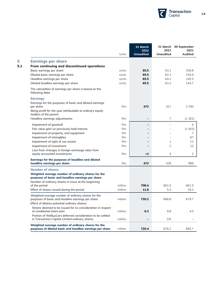|                                                                                                                 | Units     | 31 March<br>2022<br><b>Unaudited</b> | 2021<br><b>Unaudited</b> | 31 March 30 September<br>2021<br>Audited |
|-----------------------------------------------------------------------------------------------------------------|-----------|--------------------------------------|--------------------------|------------------------------------------|
| <b>Earnings per share</b>                                                                                       |           |                                      |                          |                                          |
| From continuing and discontinued operations                                                                     |           |                                      |                          |                                          |
| Basic earnings per share                                                                                        | cents     | 65.5                                 | 63.1                     | 336.9                                    |
| Diluted basic earnings per share                                                                                | cents     | 65.5                                 | 62.3                     | 334.9                                    |
| Headline earnings per share                                                                                     | cents     | 65.5                                 | 64.2                     | 145.5                                    |
| Diluted headline earnings per share                                                                             | cents     | 65.5                                 | 63.3                     | 144.7                                    |
| The calculation of earnings per share is based on the<br>following data:                                        |           |                                      |                          |                                          |
| <b>Earnings</b>                                                                                                 |           |                                      |                          |                                          |
| Earnings for the purposes of basic and diluted earnings<br>per share                                            | <b>Rm</b> | 472                                  | 421                      | 2 2 9 0                                  |
| Being profit for the year attributable to ordinary equity<br>holders of the parent                              |           |                                      |                          |                                          |
| Headline earnings adjustments:                                                                                  | <b>Rm</b> | -                                    | $\overline{7}$           | (1301)                                   |
| Impairment of goodwill                                                                                          | <b>Rm</b> | -                                    | $\overline{\phantom{0}}$ | $\overline{4}$                           |
| Fair value gain on previously held interest                                                                     | <b>Rm</b> |                                      |                          | (1403)                                   |
| Impairment of property, and equipment                                                                           | <b>Rm</b> |                                      |                          | 7                                        |
| Impairment of intangibles                                                                                       | <b>Rm</b> |                                      | $\equiv$                 | 67                                       |
| Impairment of right of use assets                                                                               | <b>Rm</b> |                                      | $\mathbf{1}$             | 12                                       |
| Impairment of investment                                                                                        | <b>Rm</b> |                                      | $\overline{2}$           | 10                                       |
| Loss from changes in foreign exchange rates from<br>equity accounted investments                                | <b>Rm</b> | $\leq 1$                             | $\overline{4}$           | $\overline{2}$                           |
| Earnings for the purposes of headline and diluted                                                               |           | 472                                  | 428                      | 989                                      |
| headline earnings per share                                                                                     | <b>Rm</b> |                                      |                          |                                          |
| <b>Number of shares</b>                                                                                         |           |                                      |                          |                                          |
| Weighted average number of ordinary shares for the<br>purposes of basic and headline earnings per share         |           |                                      |                          |                                          |
| Number of ordinary shares in issue at the beginning                                                             | million   | 708.4                                | 661.5                    | 661.5                                    |
| of the period<br>Effect of shares issued during the period                                                      | million   | 11.8                                 | 5.3                      | 18.2                                     |
|                                                                                                                 |           |                                      |                          |                                          |
| Weighted average number of ordinary shares for the<br>purposes of basic and headline earnings per share         | million   | 720.2                                | 666.8                    | 679.7                                    |
| Effect of dilutive potential ordinary shares:                                                                   |           |                                      |                          |                                          |
| Shares deemed to be issued for no consideration in respect<br>of conditional share plan                         | million   | 0.2                                  | 8.8                      | 4.0                                      |
| Portion of WeBuyCars deferred consideration to be settled<br>in Transaction Capital Limited ordinary shares     | million   |                                      | 0.6                      |                                          |
|                                                                                                                 |           |                                      |                          |                                          |
| Weighted average number of ordinary shares for the<br>purposes of diluted basic and headline earnings per share | million   | 720.4                                | 676.2                    | 683.7                                    |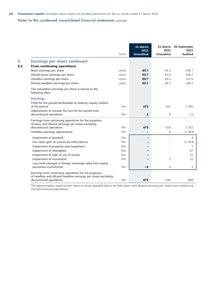|                                                                                          | Units          | 31 March<br>2022<br><b>Unaudited</b> | 2021<br><b>Unaudited</b> | 31 March 30 September<br>2021<br><b>Audited</b> |
|------------------------------------------------------------------------------------------|----------------|--------------------------------------|--------------------------|-------------------------------------------------|
| <b>Earnings per share continued</b>                                                      |                |                                      |                          |                                                 |
| <b>From continuing operations</b>                                                        |                |                                      |                          |                                                 |
| Basic earnings per share                                                                 | cents          | 65.7                                 | 64.3                     | 338.7                                           |
| Diluted basic earnings per share                                                         | cents          | 65.7                                 | 63.4                     | 336.7                                           |
| Headline earnings per share                                                              | cents          | 65.7                                 | 65.2                     | 147.0                                           |
| Diluted headline earnings per share                                                      | cents          | 65.7                                 | 64.3                     | 146.1                                           |
| The calculation earnings per share is based on the<br>following data:                    |                |                                      |                          |                                                 |
| <b>Earnings</b>                                                                          |                |                                      |                          |                                                 |
| Profit for the period attributable to ordinary equity holders<br>of the parent           | <b>Rm</b>      | 472                                  | 421                      | 2 2 9 0                                         |
| Adjustments to exclude the loss for the period from<br>discontinued operations           | <b>Rm</b>      | $\mathbf{1}$                         | 8                        | 12                                              |
| Earnings from continuing operations for the purposes                                     |                |                                      |                          |                                                 |
| of basic and diluted earnings per share excluding                                        |                |                                      |                          |                                                 |
| discontinued operations                                                                  | <b>Rm</b>      | 473                                  | 429                      | 2 3 0 2                                         |
| Headline earnings adjustments:                                                           | <b>Rm</b>      |                                      | 6                        | (1303)                                          |
| Impairment of goodwill                                                                   | <b>Rm</b>      |                                      | $\overline{\phantom{a}}$ | 4                                               |
| Fair value gain on previously held interest                                              | R <sub>m</sub> |                                      |                          | (1403)                                          |
| Impairment of property, and equipment                                                    | Rm.            |                                      |                          | 7                                               |
| Impairment of intangibles                                                                | <b>Rm</b>      |                                      |                          | 67                                              |
| Impairment of right of use of assets                                                     | <b>Rm</b>      |                                      |                          | 10                                              |
| Impairment of investment                                                                 | <b>Rm</b>      |                                      | 2                        | 10                                              |
| Loss from changes in foreign exchange rates from equity<br>accounted investments         | Rm             | $\leq 1$                             | 4                        | 2                                               |
| Earnings from continuing operations for the purposes                                     |                |                                      |                          |                                                 |
| of headline and diluted headline earnings per share excluding<br>discontinued operations | <b>Rm</b>      | 473                                  | 435                      | 999                                             |

The denominators used are the same as those detailed above for both basic and diluted earnings per share from continuing and discontinued operations.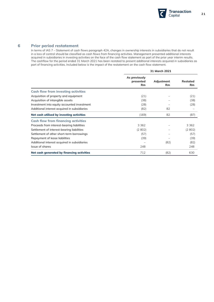**21**

#### **6 Prior period restatement**

In terms of IAS 7 – Statement of cash flows paragraph 42A, changes in ownership interests in subsidiaries that do not result in a loss of control should be classified as cash flows from financing activities. Management presented additional interests acquired in subsidiaries in investing activities on the face of the cash flow statement as part of the prior year interim results. The cashflow for the period ended 31 March 2021 has been restated to present additional interests acquired in subsidiaries as part of financing activities. Included below is the impact of the restatement on the cash flow statement.

|                                              | 31 March 2021                           |                         |                       |  |
|----------------------------------------------|-----------------------------------------|-------------------------|-----------------------|--|
|                                              | As previously<br>presented<br><b>Rm</b> | Adjustment<br><b>Rm</b> | Restated<br><b>Rm</b> |  |
| <b>Cash flow from investing activities</b>   |                                         |                         |                       |  |
| Acquisition of property and equipment        | (21)                                    |                         | (21)                  |  |
| Acquisition of intangible assets             | (38)                                    |                         | (38)                  |  |
| Investment into equity accounted investment  | (28)                                    |                         | (28)                  |  |
| Additional interest acquired in subsidiaries | (82)                                    | 82                      |                       |  |
| Net cash utilised by investing activities    | (169)                                   | 82                      | (87)                  |  |
| <b>Cash flow from financing activities</b>   |                                         |                         |                       |  |
| Proceeds from interest-bearing liabilities   | 3 3 6 2                                 |                         | 3 3 6 2               |  |
| Settlement of interest-bearing liabilities   | (2802)                                  |                         | (2802)                |  |
| Settlement of other short-term borrowings    | (57)                                    |                         | (57)                  |  |
| Repayment of lease liabilities               | (39)                                    |                         | (39)                  |  |
| Additional interest acquired in subsidiaries |                                         | (82)                    | (82)                  |  |
| Issue of shares                              | 248                                     |                         | 248                   |  |
| Net cash generated by financing activities   | 712                                     | (82)                    | 630                   |  |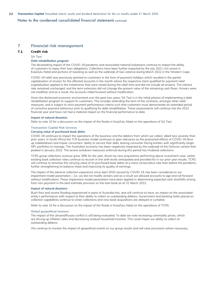#### **7 Financial risk management**

#### **7.1 Credit risk**

#### **SA Taxi**

#### **Debt rehabilitation program**

The devastating impact of the COVID-19 pandemic and associated national lockdowns continue to impact the ability of customers to repay their loan obligations. Collections have been further impacted by the July 2021 civil unrest in KwaZulu-Natal and portions of Gauteng as well as the outbreak of taxi violence during March 2022 in the Western Cape.

COVID-19 relief was previously granted to customers in the form of payment holidays which resulted in the partial capitalisation of arrears for the affected accounts in the month where the respective client qualified for payment relief (capitalisation applied to the instalments that were raised during the relief time and did not include all arrears). The interest rate remained unchanged, and the term extension did not change the present value of the remaining cash flows. Arrears were not modified, and as a result, the accounts rolled forward without modification.

Given the distressed economic environment over the past two years, SA Taxi is in the initial phases of implementing a debt rehabilitation program to support its customers. This includes extending the term of the contracts, amongst other relief measures, and is subject to strict payment performance criteria such that customers must demonstrate an extended period of corrective payment behaviour prior to qualifying for debt rehabilitation. These assessments will continue into the 2022 financial year and have not had a material impact on the financial performance to date.

#### **Impact of natural disasters**

Refer to note 10 for a discussion on the impact of the floods in KwaZulu-Natal on the operations of SA Taxi.

#### **Transaction Capital Risk Services**

#### **Carrying value of purchased book debts**

COVID-19 continues to impact the operations of the business and the debtors from which we collect, albeit less severely than prior years. In South Africa the TCR business model continues to gain relevance as the protracted effects of COVID-19 drive up indebtedness and impair consumers' ability to service their debt, leaving consumer-facing entities with significantly larger NPL portfolios to manage. The Australian economy has been negatively impacted by the outbreak of the Omicron variant that peaked in January 2022. The severe lockdown measures enforced during this period has hindered collections.

TCRS group collections revenue grew 39% for the year, driven by new acquisitions performing above investment case, whilst existing book collection rates continue to recover in line with levels anticipated and provided for in our prior year results. TCRS will continue to amortise the carrying value of its purchased book debts at a more conservative rate than before the pandemic, further strengthening its balance sheet and improving its quality of earnings.

The impact of the adverse collection experience since April 2020 caused by COVID-19, has been considered on our impairment model parameters – (i.e. we did not modify arrears and as a result we allowed accounts to age and roll forward without modification). These impairment model parameters have been applied in determining expected cash shortfalls arising from non-payment in the best estimate provision on the loan book as at 31 March 2022.

#### **Impact of natural disasters**

Bush fires and severe flooding experienced in parts of Australia has, and will continue to have, an impact on the associated entity's performance with respect to their ability to collect on outstanding debtors. Government and banking holds placed on collection capabilities continue to strain collections and new book acquisitions are delayed or curtailed.

Refer to note 10 for a discussion on the impact of the floods in KwaZulu-Natal on the operations of TCRS.

#### **Global geopolitical tensions**

The impact of the Ukraine/Russia conflict is still being evaluated. To date we note increasing commodity prices, which are driving up inflation rates and decreasing residual household incomes. This could impair our ability to collect on outstanding debtors.

We continue to monitor the impact of geopolitical events on our group results and will raise provisions where necessary.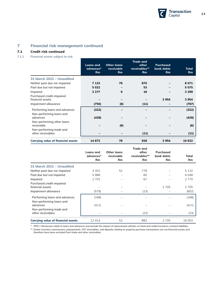#### **7.1 Credit risk continued**

**7.1.1 Financial assets subject to risk**

|                                                           | <b>Loans and</b><br>advances*<br><b>Rm</b> | <b>Other loans</b><br>receivable<br>Rm | <b>Trade and</b><br>other<br>receivables**<br><b>Rm</b> | <b>Purchased</b><br>book debts<br>Rm | Total<br>R <sub>m</sub> |
|-----------------------------------------------------------|--------------------------------------------|----------------------------------------|---------------------------------------------------------|--------------------------------------|-------------------------|
| 31 March 2022 - Unaudited                                 |                                            |                                        |                                                         |                                      |                         |
| Neither past due nor impaired                             | 7 1 2 3                                    | 78                                     | 870                                                     |                                      | 8 0 7 1                 |
| Past due but not impaired                                 | 5022                                       |                                        | 53                                                      |                                      | 5075                    |
| Impaired                                                  | 3 2 7 7                                    | 6                                      | 16                                                      |                                      | 3 2 9 9                 |
| Purchased credit-impaired                                 |                                            |                                        |                                                         |                                      |                         |
| financial assets                                          |                                            |                                        |                                                         | 3954                                 | 3954                    |
| Impairment allowance                                      | (750)                                      | (6)                                    | (11)                                                    |                                      | (767)                   |
| Performing loans and advances<br>Non-performing loans and | (322)                                      |                                        |                                                         |                                      | (322)                   |
| advances                                                  | (428)                                      |                                        |                                                         |                                      | (428)                   |
| Non-performing other loans<br>receivable                  |                                            | (6)                                    |                                                         |                                      | (6)                     |
| Non-performing trade and<br>other receivables             |                                            |                                        | (11)                                                    |                                      | (11)                    |
| <b>Carrying value of financial assets</b>                 | 14 672                                     | 78                                     | 928                                                     | 3954                                 | 19 632                  |

|                                                           | Loans and<br>advances*<br>Rm | Other loans<br>receivable<br><b>Rm</b> | <b>Trade and</b><br>other<br>receivables**<br>Rm | Purchased<br>book debts<br>Rm | Total<br>Rm |
|-----------------------------------------------------------|------------------------------|----------------------------------------|--------------------------------------------------|-------------------------------|-------------|
| 31 March 2021 - Unaudited                                 |                              |                                        |                                                  |                               |             |
| Neither past due nor impaired                             | 4 3 0 2                      | 52                                     | 778                                              |                               | 5 1 3 2     |
| Past due but not impaired                                 | 5988                         |                                        | 60                                               |                               | 6048        |
| Impaired                                                  | 2 7 0 3                      |                                        | 67                                               |                               | 2 7 7 0     |
| Purchased credit-impaired<br>financial assets             |                              |                                        |                                                  | 2 7 0 5                       | 2 7 0 5     |
| Impairment allowance                                      | (579)                        |                                        | (23)                                             |                               | (602)       |
| Performing loans and advances<br>Non-performing loans and | (168)                        |                                        |                                                  |                               | (168)       |
| advances                                                  | (411)                        |                                        |                                                  |                               | (411)       |
| Non-performing trade and<br>other receivables             |                              |                                        | (23)                                             |                               | (23)        |
| <b>Carrying value of financial assets</b>                 | 12 4 14                      | 52                                     | 882                                              | 2 7 0 5                       | 16 053      |

*\* IFRS 7 disclosures relate to loans and advances and exclude the impact of repossessed vehicles on hand and ceded insurance contract liabilities. \*\* Dealer incentive commissions, prepayments, VAT receivables, and deposits relating to property purchase transactions are not financial assets and therefore have been excluded from trade and other receivables.*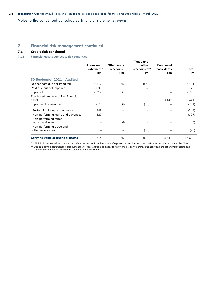#### **7 Financial risk management continued**

#### **7.1 Credit risk continued**

#### **7.1.1 Financial assets subject to risk continued**

|                                                                    | Loans and<br>advances*<br>Rm | Other loans<br>receivable<br><b>Rm</b> | Trade and<br>other<br>receivables**<br>Rm | Purchased<br>book debts<br>Rm | Total<br>Rm    |
|--------------------------------------------------------------------|------------------------------|----------------------------------------|-------------------------------------------|-------------------------------|----------------|
| 30 September 2021 - Audited                                        |                              |                                        |                                           |                               |                |
| Neither past due nor impaired                                      | 5517                         | 65                                     | 899                                       |                               | 6481           |
| Past due but not impaired                                          | 5685                         |                                        | 37                                        |                               | 5722           |
| Impaired                                                           | 2 7 1 7                      | 6                                      | 23                                        |                               | 2 7 4 6        |
| Purchased credit-impaired financial<br>assets                      |                              |                                        |                                           | 3 4 4 1                       | 3 4 4 1        |
| Impairment allowance                                               | (675)                        | (6)                                    | (20)                                      |                               | (701)          |
| Performing loans and advances<br>Non-performing loans and advances | (348)<br>(327)               |                                        |                                           |                               | (348)<br>(327) |
| Non-performing other<br>loans receivable                           |                              | (6)                                    |                                           |                               | (6)            |
| Non-performing trade and<br>other receivables                      |                              |                                        | (20)                                      |                               | (20)           |
| <b>Carrying value of financial assets</b>                          | 13 244                       | 65                                     | 939                                       | 3 4 4 1                       | 17 689         |

*\* IFRS 7 disclosures relate to loans and advances and exclude the impact of repossessed vehicles on hand and ceded insurance contract liabilities. \*\* Dealer incentive commissions, prepayments, VAT receivables, and deposits relating to property purchase transactions are not financial assets and therefore have been excluded from trade and other receivables.*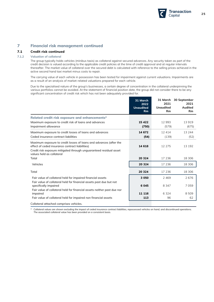#### **7 Financial risk management continued**

#### **7.1 Credit risk continued**

#### **7.1.2 Valuation of collateral**

The group typically holds vehicles (minibus taxis) as collateral against secured advances. Any security taken as part of the credit decision is valued according to the applicable credit policies at the time of credit approval and at regular intervals thereafter. The market value of collateral over the secured debt is calculated with reference to the selling prices achieved in the active second hand taxi market minus costs to repair.

The carrying value of each vehicle in possession has been tested for impairment against current valuations. Impairments are as a result of an analysis of market-related valuations prepared for each vehicle.

Due to the specialised nature of the group's businesses, a certain degree of concentration in the collateral underpinning the various portfolios cannot be avoided. At the statement of financial position date, the group did not consider there to be any significant concentration of credit risk which has not been adequately provided for.

|                                                                                                                                                                                                                          | 31 March<br>2022<br><b>Unaudited</b><br>Rm | 31 March<br>2021<br><b>Unaudited</b><br><b>Rm</b> | 30 September<br>2021<br>Audited<br><b>Rm</b> |
|--------------------------------------------------------------------------------------------------------------------------------------------------------------------------------------------------------------------------|--------------------------------------------|---------------------------------------------------|----------------------------------------------|
| Related credit risk exposure and enhancements*<br>Maximum exposure to credit risk of loans and advances<br>Impairment allowance                                                                                          | 15 4 22<br>(750)                           | 12 993<br>(579)                                   | 13 919<br>(675)                              |
| Maximum exposure to credit losses of loans and advances<br>Ceded insurance contract liabilities                                                                                                                          | 14 672<br>(54)                             | 12 4 14<br>(139)                                  | 13 244<br>(52)                               |
| Maximum exposure to credit losses of loans and advances (after the<br>effect of ceded insurance contract liabilities)<br>Credit risk exposure mitigated through unguaranteed residual asset<br>values held as collateral | 14 618                                     | 12 275                                            | 13 192                                       |
| Total                                                                                                                                                                                                                    | 20 324                                     | 17 236                                            | 18 30 6                                      |
| Vehicles                                                                                                                                                                                                                 | 20 324                                     | 17 236                                            | 18 306                                       |
| Total                                                                                                                                                                                                                    | 20 324                                     | 17 236                                            | 18 30 6                                      |
| Fair value of collateral held for impaired financial assets<br>Fair value of collateral held for financial assets past due but not                                                                                       | 3 0 5 0                                    | 2 4 6 9                                           | 2676                                         |
| specifically impaired<br>Fair value of collateral held for financial assets neither past due nor<br>impaired<br>Fair value of collateral held for impaired non financial assets                                          | 6045<br>11 116<br>113                      | 8 3 4 7<br>6324<br>96                             | 7059<br>8509<br>62                           |
| Collateral attached comprises vehicles.                                                                                                                                                                                  |                                            |                                                   |                                              |

*\* Collateral values are shown excluding the impact of ceded insurance contract liabilities, repossessed vehicles on hand, and discontinued operations. The associated collateral value has been provided on a consistent basis.*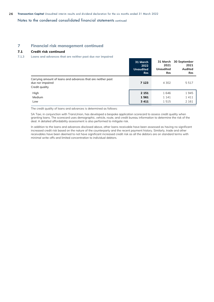#### **7 Financial risk management continued**

#### **7.1 Credit risk continued**

#### **7.1.3 Loans and advances that are neither past due nor impaired**

|                                                                                                   | 31 March         | 31 March         | 30 September |
|---------------------------------------------------------------------------------------------------|------------------|------------------|--------------|
|                                                                                                   | 2022             | 2021             | 2021         |
|                                                                                                   | <b>Unaudited</b> | <b>Unaudited</b> | Audited      |
|                                                                                                   | Rm               | <b>Rm</b>        | Rm           |
| Carrying amount of loans and advances that are neither past<br>due nor impaired<br>Credit quality | 7 1 2 3          | 4 3 0 2          | 5517         |
| High                                                                                              | 2 1 5 1          | 1646             | 1945         |
| Medium                                                                                            | 1561             | 1 1 4 1          | 1411         |
| Low                                                                                               | 3 4 1 1          | 1515             | 2 1 6 1      |

The credit quality of loans and advances is determined as follows:

SA Taxi, in conjunction with TransUnion, has developed a bespoke application scorecard to assess credit quality when granting loans. The scorecard uses demographic, vehicle, route, and credit bureau information to determine the risk of the deal. A detailed affordability assessment is also performed to mitigate risk.

In addition to the loans and advances disclosed above, other loans receivable have been assessed as having no significant increased credit risk based on the nature of the counterparty and the recent payment history. Similarly, trade and other receivables have been deemed to not have significant increased credit risk as all the debtors are on standard terms with minimal write-offs and limited concentration to individual debtors.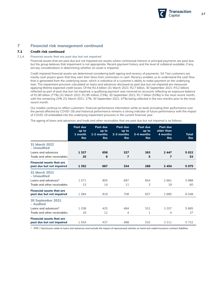#### **7 Financial risk management continued**

#### **7.1 Credit risk continued**

#### **7.1.4 Financial assets that are past due but not impaired**

Financial assets that are past due but not impaired are assets where contractual interest or principal payments are past due, but the group believes that impairment is not appropriate. Recent payment history and the level of collateral available, if any, are key considerations in determining whether an asset is impaired.

Credit impaired financial assets are determined considering both ageing and recency of payments. SA Taxi customers are mostly cash payers given that they earn their fares from commuters in cash. Recency enables us to understand the cash flow that is generated from the underlying asset, which is indicative of a customer's ability to make payment on the underlying loan. The impairment provision calculated on loans and advances disclosed as past due but not impaired are measured applying lifetime expected credit losses. Of the R2.4 billion (31 March 2021: R2.7 billion, 30 September 2021: R3.2 billion) reflected as part of past due but not impaired, a qualifying payment was received on accounts reflecting an exposure balance of R1.85 billion (77%) (31 March 2021: R1.95 million (73%), 30 September 2021: R1.7 billion (53%)) in the most recent month, with the remaining 23% (31 March 2021: 27%, 30 September 2021: 47%) being collected in the two months prior to the most recent month.

Our models continue to reflect customers' financial performance information while on book (including their performance over the period affected by COVID-19) and historical performance remains a strong indicator of future performance with the impact of COVID-19 embedded into the underlying impairment provision in the current financial year.

The ageing of loans and advances and trade and other receivables that are past due but not impaired is as follows:

|                                                               | Past due<br>up to<br>1 month<br>Rm | Past due<br>up to<br>1-2 months<br>Rm | Past due<br>up to<br>2-3 months<br>Rm | Past due<br>$up$ to<br>3-4 months<br>Rm | Past due<br>older than<br>4 months<br>Rm | <b>Total</b><br>Rm |
|---------------------------------------------------------------|------------------------------------|---------------------------------------|---------------------------------------|-----------------------------------------|------------------------------------------|--------------------|
| <b>31 March 2022</b><br>- Unaudited                           |                                    |                                       |                                       |                                         |                                          |                    |
| Loans and advances                                            | 1 3 2 7                            | 658                                   | 327                                   | 263                                     | 2 4 4 7                                  | 5022               |
| Trade and other receivables                                   | 25                                 | 9                                     | 7                                     | 5                                       | 7                                        | 53                 |
| <b>Financial assets that are</b><br>past due but not impaired | 1 3 5 2                            | 667                                   | 334                                   | 268                                     | 2 4 5 4                                  | 5075               |
| <b>31 March 2021</b><br>- Unaudited                           |                                    |                                       |                                       |                                         |                                          |                    |
| Loans and advances*                                           | 1071                               | 905                                   | 697                                   | 654                                     | 2661                                     | 5988               |
| Trade and other receivables                                   | 13                                 | 14                                    | 11                                    | 3                                       | 19                                       | 60                 |
| <b>Financial assets that are</b><br>past due but not impaired | 1 0 8 4                            | 919                                   | 708                                   | 657                                     | 2680                                     | 6048               |
| 30 September 2021<br>- Audited                                |                                    |                                       |                                       |                                         |                                          |                    |
| Loans and advances*                                           | 1038                               | 425                                   | 484                                   | 531                                     | 3 2 0 7                                  | 5685               |
| Trade and other receivables                                   | 16                                 | 12                                    | 4                                     | 1                                       | 4                                        | 37                 |
| <b>Financial assets that are</b><br>past due but not impaired | 1 0 5 4                            | 437                                   | 488                                   | 532                                     | 3 2 1 1                                  | 5722               |

*\* IFRS 7 disclosures relate to loans and advances and exclude the impact of repossessed vehicles on hand and ceded insurance contract liabilities.*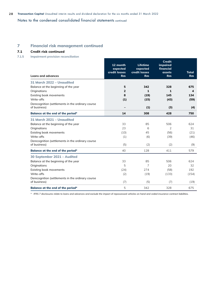#### **7 Financial risk management continued**

#### **7.1 Credit risk continued**

**7.1.5 Impairment provision reconciliation**

| <b>Loans and advances</b>                                         | 12 month<br>expected<br>credit losses<br>Rm | <b>Lifetime</b><br>expected<br>credit losses<br>Rm | <b>Credit</b><br>impaired<br>financial<br>assets<br>Rm | <b>Total</b><br>Rm |
|-------------------------------------------------------------------|---------------------------------------------|----------------------------------------------------|--------------------------------------------------------|--------------------|
| 31 March 2022 - Unaudited                                         |                                             |                                                    |                                                        |                    |
| Balance at the beginning of the year                              | 5                                           | 342                                                | 328                                                    | 675                |
| Originations                                                      | $\overline{2}$                              | 1                                                  | 1                                                      | 4                  |
| Existing book movements                                           | 8                                           | (19)                                               | 145                                                    | 134                |
| Write-offs                                                        | (1)                                         | (15)                                               | (43)                                                   | (59)               |
| Derecognition (settlements in the ordinary course<br>of business) |                                             | (1)                                                | (3)                                                    | (4)                |
| Balance at the end of the period*                                 | 14                                          | 308                                                | 428                                                    | 750                |
| 31 March 2021 - Unaudited                                         |                                             |                                                    |                                                        |                    |
| Balance at the beginning of the year                              | 33                                          | 85                                                 | 506                                                    | 624                |
| Originations                                                      | 23                                          | 6                                                  | 2                                                      | 31                 |
| Existing book movements                                           | (10)                                        | 45                                                 | (56)                                                   | (21)               |
| Write-offs                                                        | (1)                                         | (6)                                                | (39)                                                   | (46)               |
| Derecognition (settlements in the ordinary course<br>of business) | (5)                                         | (2)                                                | (2)                                                    | (9)                |
| Balance at the end of the period*                                 | 40                                          | 128                                                | 411                                                    | 579                |
| 30 September 2021 - Audited                                       |                                             |                                                    |                                                        |                    |
| Balance at the beginning of the year                              | 33                                          | 85                                                 | 506                                                    | 624                |
| Originations                                                      | 5                                           | 7                                                  | 20                                                     | 32                 |
| Existing book movements                                           | (24)                                        | 274                                                | (58)                                                   | 192                |
| Write-offs                                                        | (2)                                         | (19)                                               | (133)                                                  | (154)              |
| Derecognition (settlements in the ordinary course<br>of business) | (7)                                         | (5)                                                | (7)                                                    | (19)               |
| Balance at the end of the period*                                 | 5                                           | 342                                                | 328                                                    | 675                |

*\* IFRS 7 disclosures relate to loans and advances and exclude the impact of repossessed vehicles on hand and ceded insurance contract liabilities.*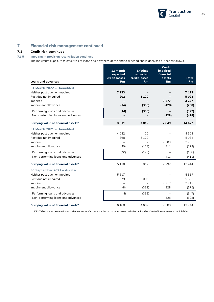#### **7 Financial risk management continued**

#### **7.1 Credit risk continued**

**7.1.5 Impairment provision reconciliation continued**

The maximum exposure to credit risk of loans and advances at the financial period end is analysed further as follows:

| <b>Loans and advances</b>           | 12 month<br>expected<br>credit losses<br>Rm | <b>Lifetime</b><br>expected<br>credit losses<br>Rm | <b>Credit</b><br>impaired<br>financial<br>assets<br>Rm | Total<br>Rm |
|-------------------------------------|---------------------------------------------|----------------------------------------------------|--------------------------------------------------------|-------------|
| 31 March 2022 - Unaudited           |                                             |                                                    |                                                        |             |
| Neither past due nor impaired       | 7 1 2 3                                     |                                                    |                                                        | 7 1 2 3     |
| Past due not impaired               | 902                                         | 4 1 2 0                                            |                                                        | 5022        |
| Impaired                            |                                             |                                                    | 3 2 7 7                                                | 3 2 7 7     |
| Impairment allowance                | (14)                                        | (308)                                              | (428)                                                  | (750)       |
| Performing loans and advances       | (14)                                        | (308)                                              | $\overline{\phantom{0}}$                               | (322)       |
| Non-performing loans and advances   |                                             |                                                    | (428)                                                  | (428)       |
| Carrying value of financial assets* | 8 0 1 1                                     | 3812                                               | 2849                                                   | 14 672      |
| 31 March 2021 - Unaudited           |                                             |                                                    |                                                        |             |
| Neither past due nor impaired       | 4 2 8 2                                     | 20                                                 |                                                        | 4 3 0 2     |
| Past due not impaired               | 868                                         | 5 1 2 0                                            |                                                        | 5988        |
| Impaired                            |                                             |                                                    | 2 7 0 3                                                | 2 7 0 3     |
| Impairment allowance                | (40)                                        | (128)                                              | (411)                                                  | (579)       |
| Performing loans and advances       | (40)                                        | (128)                                              |                                                        | (168)       |
| Non-performing loans and advances   | ۳                                           |                                                    | (411)                                                  | (411)       |
| Carrying value of financial assets* | 5 1 1 0                                     | 5012                                               | 2 2 9 2                                                | 12 4 14     |
| 30 September 2021 - Audited         |                                             |                                                    |                                                        |             |
| Neither past due nor impaired       | 5517                                        |                                                    |                                                        | 5517        |
| Past due not impaired               | 679                                         | 5 0 0 6                                            |                                                        | 5685        |
| Impaired                            |                                             |                                                    | 2717                                                   | 2717        |
| Impairment allowance                | (8)                                         | (339)                                              | (328)                                                  | (675)       |
| Performing loans and advances       | (8)                                         | (339)                                              | $\overline{\phantom{0}}$                               | (347)       |
| Non-performing loans and advances   | $\overline{\phantom{0}}$                    |                                                    | (328)                                                  | (328)       |
| Carrying value of financial assets* | 6 1 8 8                                     | 4667                                               | 2 3 8 9                                                | 13 244      |

*\* IFRS 7 disclosures relate to loans and advances and exclude the impact of repossessed vehicles on hand and ceded insurance contract liabilities.*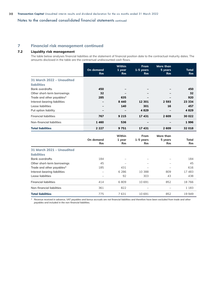#### **7 Financial risk management continued**

#### **7.2 Liquidity risk management**

The table below analyses financial liabilities at the statement of financial position date to the contractual maturity dates. The amounts disclosed in the table are the contractual undiscounted cash flows.

|                              | On demand                | Within<br>1 year | <b>From</b><br>1-5 years | <b>More than</b><br>5 years | <b>Total</b> |
|------------------------------|--------------------------|------------------|--------------------------|-----------------------------|--------------|
|                              | Rm                       | <b>Rm</b>        | <b>Rm</b>                | <b>Rm</b>                   | <b>Rm</b>    |
| 31 March 2022 - Unaudited    |                          |                  |                          |                             |              |
| <b>liabilities</b>           |                          |                  |                          |                             |              |
| <b>Bank overdrafts</b>       | 450                      |                  |                          |                             | 450          |
| Other short-term borrowings  | 32                       |                  |                          |                             | 32           |
| Trade and other payables*    | 285                      | 635              |                          |                             | 920          |
| Interest-bearing liabilities |                          | 8 4 4 0          | 12 301                   | 2 5 9 3                     | 23 334       |
| Lease liabilities            |                          | 140              | 301                      | 16                          | 457          |
| Put option liability         |                          |                  | 4829                     |                             | 4829         |
| <b>Financial liabilities</b> | 767                      | 9 2 1 5          | 17431                    | 2 609                       | 30 022       |
| Non-financial liabilities    | 1 4 6 0                  | 536              |                          |                             | 1996         |
| <b>Total liabilities</b>     | 2 2 2 7                  | 9751             | 17 431                   | 2 609                       | 32 018       |
|                              |                          |                  |                          |                             |              |
|                              |                          | Within           | From                     | More than                   |              |
|                              | On demand                | 1 year           | $1-5$ years              | 5 years                     | <b>Total</b> |
|                              | <b>Rm</b>                | <b>Rm</b>        | Rm                       | Rm                          | Rm           |
| 31 March 2021 - Unaudited    |                          |                  |                          |                             |              |
| <b>liabilities</b>           |                          |                  |                          |                             |              |
| <b>Bank overdrafts</b>       | 184                      |                  |                          |                             | 184          |
| Other short-term borrowings  | 45                       |                  |                          |                             | 45           |
| Trade and other payables*    | 185                      | 431              |                          |                             | 616          |
| Interest-bearing liabilities | $\overline{\phantom{0}}$ | 6 2 8 6          | 10 388                   | 809                         | 17 483       |
| Lease liabilities            |                          | 92               | 303                      | 43                          | 438          |
| <b>Financial liabilities</b> | 414                      | 6809             | 10 691                   | 852                         | 18766        |
| Non-financial liabilities    | 361                      | 822              |                          |                             | 1 1 8 3      |

*\* Revenue received in advance, VAT payables and bonus accruals are not financial liabilities and therefore have been excluded from trade and other payables and included in the non-financial liabilities.*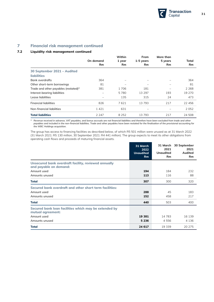#### **7 Financial risk management continued**

#### **7.2 Liquidity risk management continued**

|                                      |           | Within    | From      | More than |         |
|--------------------------------------|-----------|-----------|-----------|-----------|---------|
|                                      | On demand | 1 year    | 1-5 years | 5 years   | Total   |
|                                      | <b>Rm</b> | <b>Rm</b> | <b>Rm</b> | <b>Rm</b> | Rm      |
| 30 September 2021 - Audited          |           |           |           |           |         |
| <b>liabilities</b>                   |           |           |           |           |         |
| Bank overdrafts                      | 364       |           |           |           | 364     |
| Other short-term borrowings          | 81        |           |           |           | 81      |
| Trade and other payables (restated)* | 381       | 1706      | 181       |           | 2 2 6 8 |
| Interest-bearing liabilities         |           | 5780      | 13 2 9 7  | 193       | 19 270  |
| Lease liabilities                    |           | 135       | 315       | 24        | 473     |
| <b>Financial liabilities</b>         | 826       | 7621      | 13793     | 217       | 22 456  |
| Non-financial liabilities            | 1421      | 631       |           |           | 2052    |
| <b>Total liabilities</b>             | 2 2 4 7   | 8 2 5 2   | 13793     | 217       | 24 508  |

*\* Revenue received in advance, VAT payables, and bonus accruals are not financial liabilities and therefore have been excluded from trade and other payables and included in the non-financial liabilities. Trade and other payables have been restated for the finalisation of the provisional accounting for the WBC Holdings acquisition.*

The group has access to financing facilities as described below, of which R5 501 million were unused as at 31 March 2022 (31 March 2021: R5 130 million, 30 September 2021: R4 441 million). The group expects to meet its other obligations from operating cash flows and proceeds of maturing financial assets.

|                                                                                | 31 March                 | 31 March<br>2021 | 30 September<br>2021 |
|--------------------------------------------------------------------------------|--------------------------|------------------|----------------------|
|                                                                                | 2022<br><b>Unaudited</b> | <b>Unaudited</b> | Audited              |
|                                                                                | Rm                       | Rm               | <b>Rm</b>            |
| Unsecured bank overdraft facility, reviewed annually<br>and payable on demand: |                          |                  |                      |
| Amount used                                                                    | 194                      | 184              | 232                  |
| Amounts unused                                                                 | 113                      | 116              | 88                   |
| <b>Total</b>                                                                   | 307                      | 300              | 320                  |
| Secured bank overdraft and other short term facilities:                        |                          |                  |                      |
| Amount used                                                                    | 288                      | 45               | 183                  |
| Amounts unused                                                                 | 152                      | 458              | 217                  |
| <b>Total</b>                                                                   | 440                      | 503              | 400                  |
| Secured bank loan facilities which may be extended by<br>mutual agreement:     |                          |                  |                      |
| Amount used                                                                    | 19 381                   | 14783            | 16 139               |
| Amounts unused                                                                 | 5 2 3 6                  | 4556             | 4 1 3 6              |
| <b>Total</b>                                                                   | 24 617                   | 19 339           | 20 275               |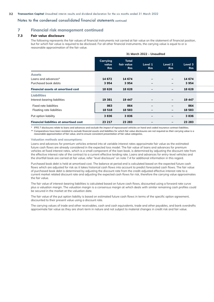#### **7 Financial risk management continued**

#### **7.3 Fair value disclosure**

The following represents the fair values of financial instruments not carried at fair value on the statement of financial position, but for which fair value is required to be disclosed. For all other financial instruments, the carrying value is equal to or a reasonable approximation of the fair value.

|                                                | 31 March 2022 - Unaudited             |                                  |                          |                          |                      |  |  |  |
|------------------------------------------------|---------------------------------------|----------------------------------|--------------------------|--------------------------|----------------------|--|--|--|
|                                                | <b>Carrying</b><br>value<br><b>Rm</b> | <b>Total</b><br>fair value<br>Rm | Level 1<br><b>Rm</b>     | Level 2<br>Rm            | Level 3<br><b>Rm</b> |  |  |  |
| <b>Assets</b>                                  |                                       |                                  |                          |                          |                      |  |  |  |
| Loans and advances*                            | 14 672                                | 14 674                           | $\overline{\phantom{a}}$ | $ \,$                    | 14 674               |  |  |  |
| Purchased book debts                           | 3954                                  | 3954                             | $\overline{\phantom{0}}$ | $\sim$                   | 3954                 |  |  |  |
| <b>Financial assets at amortised cost</b>      | 18 6 26                               | 18 628                           | $\overline{\phantom{0}}$ | $-$                      | 18 6 28              |  |  |  |
| <b>Liabilities</b>                             |                                       |                                  |                          |                          |                      |  |  |  |
| Interest-bearing liabilities                   | 19 381                                | 19 447                           | $\overline{\phantom{a}}$ | $-$                      | 19 447               |  |  |  |
| Fixed rate liabilities                         | 863                                   | 864                              | $\qquad \qquad -$        | $\overline{\phantom{a}}$ | 864                  |  |  |  |
| Floating rate liabilities                      | 18 5 18                               | 18 5 83                          | $\overline{\phantom{0}}$ | $-$                      | 18 5 83              |  |  |  |
| Put option liability                           | 3836                                  | 3836                             | $\overline{\phantom{a}}$ | $-$                      | 3836                 |  |  |  |
| <b>Financial liabilities at amortised cost</b> | 23 217                                | 23 283                           | $\overline{\phantom{0}}$ | $-$                      | 23 283               |  |  |  |

*\* IFRS 7 disclosures relate to loans and advances and exclude the impact of repossessed vehicles on hand and ceded insurance contract liabilities.* 

*\*\* Comparatives have been restated to exclude financial assets and liabilities for which fair value disclosures are not required as their carrying value is a reasonable approximation of fair value, and to ensure consistent presentation of fair value categories.* 

#### **Valuation methods and assumptions:**

Loans and advances for premium vehicles entered into at variable interest rates approximate fair value as the estimated future cash flows are already considered in the expected loss model. The fair value of loans and advances for premium vehicles at fixed interest rates, which is a small component of the loan book, is determined by adjusting the discount rate from the effective interest rate of the contract to a current effective lending rate. Loans and advances for entry-level vehicles and the shortfall book are carried at fair value, refer "level disclosure" on note 7.4 for additional information in this regard.

Purchased book debt is held at amortised cost. The balance at period end is calculated based on the expected future cash flows which are adjusted for risk as it takes historical cash flows into account to predict forecasted cash flows. The fair value of purchased book debt is determined by adjusting the discount rate from the credit-adjusted effective interest rate to a current market related discount rate and adjusting the expected cash flows for risk, therefore the carrying value approximates the fair value.

The fair value of interest-bearing liabilities is calculated based on future cash flows, discounted using a forward rate curve plus a valuation margin. The valuation margin is a consensus margin at which deals with similar remaining cash profiles could be secured in the market at the valuation date.

The fair value of the put option liability is based on estimated future cash flows in terms of the specific option agreement, discounted to their present value using a discount rate.

The carrying values of trade and other receivables, cash and cash equivalents, trade and other payables, and bank overdrafts approximate fair value as they are short-term in nature and not subject to material changes in credit risk and fair value.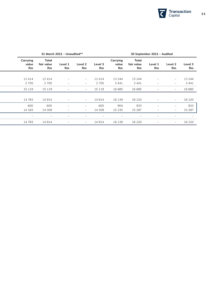

| 30 September 2021 - Audited |                         |               |               | 31 March 2021 - Unaudited** |                           |                          |
|-----------------------------|-------------------------|---------------|---------------|-----------------------------|---------------------------|--------------------------|
| Total<br>fair value         | Carrying<br>value<br>Rm | Level 3<br>Rm | Level 2<br>Rm | Level 1<br>Rm               | Total<br>fair value<br>Rm | Carrying<br>value<br>Rm  |
|                             |                         |               |               |                             |                           |                          |
| 13 244                      | 13 244                  | 12 4 14       | $\sim$        | $\overline{\phantom{0}}$    | 12 4 14                   | 12 4 14                  |
| 3 4 4 1                     | 3 4 4 1                 | 2 7 0 5       | $-$           | $\overline{\phantom{0}}$    | 2 7 0 5                   | 2705                     |
| 16 685                      | 16 685                  | 15 1 19       | $-$           | $\overline{\phantom{0}}$    | 15 1 19                   | 15 1 19                  |
|                             |                         |               |               |                             |                           |                          |
| 16 2 20                     | 16 139                  | 14 9 14       | $\sim$        | $\overline{\phantom{0}}$    | 14 914                    | 14783                    |
| 933                         | 904                     | 605           | $-$           | $\overline{\phantom{0}}$    | 605                       | 600                      |
| 15 287                      | 15 2 35                 | 14 309        | $  \,$        | $\overline{\phantom{0}}$    | 14 309                    | 14 183                   |
|                             |                         | -             | -             | $\sim$                      | $\overline{\phantom{a}}$  | $\overline{\phantom{m}}$ |
| 16 2 20                     | 16 139                  | 14 914        | $-$           | $ \,$                       | 14 914                    | 14 783                   |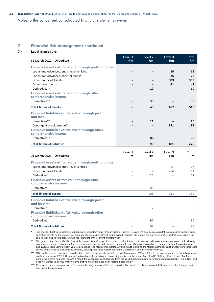#### **7 Financial risk management continued**

#### **7.4 Level disclosure**

| 31 March 2022 - Unaudited                                                        | Level 1<br>Rm | Level 2<br>Rm            | Level 3<br>Rm        | <b>Total</b><br>Rm |
|----------------------------------------------------------------------------------|---------------|--------------------------|----------------------|--------------------|
| Financial assets at fair value through profit and loss                           |               |                          |                      |                    |
| Loans and advances: entry-level vehicles                                         |               |                          | 18                   | 18                 |
| Loans and advances: shortfall book*                                              |               |                          | 25                   | 25                 |
| <b>Other Financial Assets</b>                                                    |               |                          | 383                  | 383                |
| Other investments                                                                |               |                          | 41                   | 41                 |
| Derivatives**                                                                    |               | 10                       |                      | 10                 |
| Financial assets at fair value through other<br>comprehensive income             |               |                          |                      |                    |
| Derivatives**                                                                    |               | 33                       |                      | 33                 |
| <b>Total financial assets</b>                                                    |               | 43                       | 467                  | 510                |
| <b>Financial liabilities at fair value through profit</b><br>and loss            |               |                          |                      |                    |
| Derivatives**                                                                    |               | 11                       |                      | 10                 |
| Contingent consideration***                                                      |               |                          | 181                  | 181                |
| Financial liabilities at fair value through other<br>comprehensive income        |               |                          |                      |                    |
| Derivatives**                                                                    |               | 88                       |                      | 88                 |
| <b>Total financial liabilities</b>                                               |               | 99                       | 181                  | 279                |
| 31 March 2021 - Unaudited                                                        | Level 1<br>Rm | Level 2<br><b>Rm</b>     | Level 3<br><b>Rm</b> | Total<br><b>Rm</b> |
| Financial assets at fair value through profit and loss                           |               |                          |                      |                    |
| Loans and advances: entry-level vehicles                                         |               |                          | 17                   | 17                 |
| <b>Other Financial Assets</b>                                                    |               | $\overline{\phantom{0}}$ | 214                  | 214                |
| Derivatives*                                                                     |               | 22                       |                      | 22                 |
| Financial assets at fair value through other<br>comprehensive income             |               |                          |                      |                    |
| Derivatives*                                                                     |               | 86                       |                      | 86                 |
| <b>Total financial assets</b>                                                    |               | 108                      | 231                  | 339                |
| <b>Financial liabilities at fair value through profit</b><br>and loss****        |               |                          |                      |                    |
| Derivatives*                                                                     |               | 7                        |                      | 7                  |
| <b>Financial liabilities at fair value through other</b><br>comprehensive income |               |                          |                      |                    |
|                                                                                  |               |                          |                      |                    |
| Derivatives*                                                                     |               | 90                       |                      | 90                 |

*\* The shortfall book is classified as a financial asset at fair value through profit or loss as its value will only be recovered through a sales transaction to collection agents by the group. Collection agents expressed interest and provided valuations to pursue the purchase of the shortfall book, where the sale is expected to take place during the later part of the current financial year.*

*\*\* The group enters into derivative financial instruments with respective counterparties. Interest rate swaps and cross-currency swaps are valued using valuation techniques, which employ the use of market observable inputs. The most frequently applied valuation techniques include forward pricing and swap models using present value calculations. The models incorporate various inputs including the foreign exchange spot and forward rates, yield curves of the respective currencies, currency basis spreads between the respective currencies, and interest rate curves.*

*\*\*\* R171 million of the contingent consideration relates to the investment into the WBC group and R10m relates to the investment in the Prushka group of entities. In terms of IFRS 3: Business Combinations, the provisional accounting applied to the acquisition of WBC Holdings (Pty) Ltd was finalised during the current financial year. As a result, the contingent consideration from the WBC Holdings business combination increased by R39 million, and goodwill increased by R39 million. Comparative information has been restated accordingly.*

*\*\*\*\* Comparatives have been restated for interest bearing loans and deferred consideration inadvertently shown as liabilities at fair value through profit and loss in the prior year.*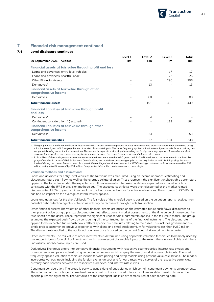#### **7 Financial risk management continued**

#### **7.4 Level disclosure continued**

| 30 September 2021 - Audited                                                      | Level 1<br>Rm | Level 2<br><b>Rm</b> | Level 3<br>Rm | Total<br>Rm |
|----------------------------------------------------------------------------------|---------------|----------------------|---------------|-------------|
| Financial assets at fair value through profit and loss                           |               |                      |               |             |
| Loans and advances: entry-level vehicles                                         |               |                      | 17            | 17          |
| Loans and advances: shortfall book                                               |               |                      | 25            | 25          |
| <b>Other Financial Assets</b>                                                    |               |                      | 296           | 296         |
| Derivatives*                                                                     |               | 13                   |               | 13          |
| Financial assets at fair value through other<br>comprehensive income             |               |                      |               |             |
| Derivatives                                                                      |               | 88                   |               | 88          |
| <b>Total financial assets</b>                                                    |               | 101                  | 338           | 439         |
| <b>Financial liabilities at fair value through profit</b><br>and loss            |               |                      |               |             |
| Derivatives*                                                                     |               | 4                    |               | 4           |
| Contingent consideration** (restated)                                            |               |                      | 181           | 181         |
| <b>Financial liabilities at fair value through other</b><br>comprehensive income |               |                      |               |             |
| Derivatives*                                                                     |               | 53                   |               | 53          |
| <b>Total financial liabilities</b>                                               |               | 57                   | 181           | 238         |

*\* The group enters into derivative financial instruments with respective counterparties. Interest rate swaps and cross-currency swaps are valued using valuation techniques, which employ the use of market observable inputs. The most frequently applied valuation techniques include forward pricing and swap models using present value calculations. The models incorporate various inputs including the foreign exchange spot and forward rates, yield curves of the respective currencies, currency basis spreads between the respective currencies, and interest rate curves.*

*\*\* R171 million of the contingent consideration relates to the investment into the WBC group and R10 million relates to the investment in the Prushka group of entities. In terms of IFRS 3: Business Combinations, the provisional accounting applied to the acquisition of WBC Holdings (Pty) Ltd was finalised during the current financial year. As a result, the contingent consideration from the WBC Holdings business combination increased by R39 million, and goodwill increased by R39 million. Comparative information has been restated accordingly.*

#### **Valuation methods and assumptions:**

Loans and advances for entry-level vehicles: The fair value was calculated using an income approach (estimating and discounting future cash flow) as well as the average collateral value. These represent the significant unobservable parameters applied in the fair value model. The expected cash flows were estimated using a lifetime expected loss model, which is consistent with the IFRS 9 provision methodology. The expected cash flows were then discounted at the market related discount rate of 25% to yield a fair value of the total loans and advances for entry level-vehicles. The outbreak of COVID-19 has had no impact on the average collateral values applied.

Loans and advances for the shortfall book: The fair value of the shortfall book is based on the valuation reports received from potential debt collection agents as the value will only be recovered through a sale transaction.

Other financial assets: The valuation of other financial assets are based on the estimated future cash flows, discounted to their present value using a pre-tax discount rate that reflects current market assessments of the time value of money and the risks specific to the asset. These represent the significant unobservable parameters applied in the fair value model. The group estimates the expected cash flows by considering all the contractual terms of the financial instrument. The discount rate applied to the expected future cash flows reflects specific risk premiums relating to the asset. This includes government risk, single project customer, no previous experience with client, and small stock premium for valuations less than R250 million. The discount rate applied to the additional purchase price is based on the current South African prime interest rate.

Other investments: The fair value of other investments is determined using applicable valuation techniques (commonly used by market participants for a similar investment) which use relevant observable inputs to the extent these are available and where unavailable, unobservable inputs are used.

Derivatives: The group enters into derivative financial instruments with respective counterparties. Interest rate swaps and cross-currency swaps are valued using valuation techniques, which employ the use of market observable inputs. The most frequently applied valuation techniques include forward pricing and swap models using present value calculations. The models incorporate various inputs including the foreign exchange spot and forward rates, yield curves of the respective currencies, currency basis spreads between the respective currencies, and interest rate curves.

Contingent consideration: The group is party to acquisitions of subsidiaries which contain contingent payments arrangements. The valuation of the contingent considerations is based on the estimated future cash flows as determined in terms of the specific purchase agreement. The fair values of the contingent liabilities are remeasured at each reporting date.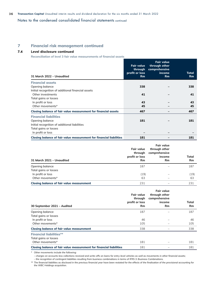#### **7 Financial risk management continued**

#### **7.4 Level disclosure continued**

**Reconciliation of level 3 fair value measurements of financial assets**

| 31 March 2022 - Unaudited                                           | <b>Fair value</b><br>through<br>profit or loss<br>Rm. | <b>Fair value</b><br>through other<br>comprehensive<br>income<br>Rm | Total<br>Rm |
|---------------------------------------------------------------------|-------------------------------------------------------|---------------------------------------------------------------------|-------------|
| <b>Financial assets</b>                                             |                                                       |                                                                     |             |
| Opening balance                                                     | 338                                                   |                                                                     | 338         |
| Initial recognition of additional financial assets                  |                                                       |                                                                     |             |
| Other investments                                                   | 41                                                    |                                                                     | 41          |
| Total gains or losses                                               |                                                       |                                                                     |             |
| In profit or loss                                                   | 43                                                    |                                                                     | 43          |
| Other movements*                                                    | 45                                                    |                                                                     | 45          |
| Closing balance of fair value measurement for financial assets      | 467                                                   |                                                                     | 467         |
| <b>Financial liabilities</b>                                        |                                                       |                                                                     |             |
| Opening balance                                                     | 181                                                   |                                                                     | 181         |
| Initial recognition of additional liabilities                       |                                                       |                                                                     |             |
| Total gains or losses                                               |                                                       |                                                                     |             |
| In profit or loss                                                   |                                                       |                                                                     |             |
| Closing balance of fair value measurement for financial liabilities | 181                                                   |                                                                     | 181         |

| 31 March 2021 - Unaudited                        | Fair value<br>through<br>profit or loss<br>Rm | <b>Fair value</b><br>through other<br>comprehensive<br>income<br>Rm | Total<br>Rm |
|--------------------------------------------------|-----------------------------------------------|---------------------------------------------------------------------|-------------|
| Opening balance                                  | 187                                           |                                                                     | 187         |
| Total gains or losses                            |                                               |                                                                     |             |
| In profit or loss                                | (19)                                          |                                                                     | (19)        |
| Other movements*                                 | 63                                            |                                                                     | 63          |
| <b>Closing balance of fair value measurement</b> | 231                                           |                                                                     | 231         |

| 30 September 2021 - Audited                                         | Fair value<br>through<br>profit or loss<br>Rm | <b>Fair value</b><br>through other<br>comprehensive<br>income<br>Rm | Total<br><b>Rm</b> |
|---------------------------------------------------------------------|-----------------------------------------------|---------------------------------------------------------------------|--------------------|
| Opening balance                                                     | 187                                           |                                                                     | 187                |
| Total gains or losses                                               |                                               |                                                                     |                    |
| In profit or loss                                                   | 46                                            |                                                                     | 46                 |
| Other movements*                                                    | 105                                           |                                                                     | 105                |
| <b>Closing balance of fair value measurement</b>                    | 338                                           |                                                                     | 338                |
| <b>Financial liabilities**</b>                                      |                                               |                                                                     |                    |
| Total gains or losses                                               |                                               |                                                                     |                    |
| Other movements*                                                    | 181                                           |                                                                     | 181                |
| Closing balance of fair value measurement for financial liabilities | 181                                           |                                                                     | 181                |

*\* Other movements include the following:*

*– charges on accounts less collections received and write-offs on loans for entry-level vehicles as well as movements in other financial assets;*

*– the recognition of contingent liabilities resulting from business combinations in terms of IFRS 3: Business Combinations.*

*\*\* The financial liabilities as disclosed in the previous financial year have been restated for the effects of the finalisation of the provisional accounting for the WBC Holdings acquisition.*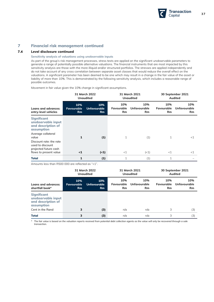#### **7 Financial risk management continued**

#### **7.4 Level disclosure continued**

#### **Sensitivity analysis of valuations using unobservable inputs**

As part of the group's risk management processes, stress tests are applied on the significant unobservable parameters to generate a range of potentially possible alternative valuations. The financial instruments that are most impacted by this sensitivity analysis are those with the more illiquid and/or structured portfolios. The stresses are applied independently and do not take account of any cross correlation between separate asset classes that would reduce the overall effect on the valuations. A significant parameter has been deemed to be one which may result in a change in the fair value of the asset or liability of more than 10%. This is demonstrated by the following sensitivity analysis, which includes a reasonable range of possible outcomes.

Movement in fair value given the 10% change in significant assumptions.

|                                                                              |                                       | 31 March 2022<br><b>Unaudited</b>       |                         | 31 March 2021<br><b>Unaudited</b> |                         | 30 September 2021<br>Audited     |
|------------------------------------------------------------------------------|---------------------------------------|-----------------------------------------|-------------------------|-----------------------------------|-------------------------|----------------------------------|
| Loans and advances:<br>entry-level vehicles                                  | 10%<br><b>Favourable</b><br><b>Rm</b> | 10%<br><b>Unfavourable</b><br><b>Rm</b> | 10%<br>Favourable<br>Rm | 10%<br>Unfavourable<br><b>Rm</b>  | 10%<br>Favourable<br>Rm | 10%<br><b>Unfavourable</b><br>Rm |
| <b>Significant</b><br>unobservable input<br>and description of<br>assumption |                                       |                                         |                         |                                   |                         |                                  |
| Average collateral<br>value                                                  | 1                                     | (1)                                     |                         | (1)                               | $\mathbf{1}$            | ${<}1$                           |
| Discount rate: the rate<br>used to discount<br>projected future cash         |                                       |                                         |                         |                                   |                         |                                  |
| flows to present value                                                       | $\leq 1$                              | ( <b>1</b> )                            | ${<}1$                  | (<1)                              | ${<}1$                  | ${<}1$                           |
| Total                                                                        | 1                                     | (1)                                     |                         | (1)                               | ┸                       |                                  |

Amounts less than R500 000 are reflected as "<1".

|                                                                              |                                | 31 March 2022<br><b>Unaudited</b> |                         | 31 March 2021<br><b>Unaudited</b> | 30 September 2021<br>Audited   |                                  |  |  |  |
|------------------------------------------------------------------------------|--------------------------------|-----------------------------------|-------------------------|-----------------------------------|--------------------------------|----------------------------------|--|--|--|
| Loans and advances:<br>shortfall book*                                       | 10%<br><b>Favourable</b><br>Rm | 10%<br><b>Unfavourable</b><br>Rm  | 10%<br>Favourable<br>Rm | 10%<br>Unfavourable<br>Rm         | 10%<br>Favourable<br><b>Rm</b> | 10%<br>Unfavourable<br><b>Rm</b> |  |  |  |
| <b>Significant</b><br>unobservable input<br>and description of<br>assumption |                                |                                   |                         |                                   |                                |                                  |  |  |  |
| Cent in the Rand                                                             | 3                              | (3)                               | n/a                     | n/a                               | 3                              | (3)                              |  |  |  |
| <b>Total</b>                                                                 | 3                              | (3)                               | n/a                     | n/a                               | 3                              | (3)                              |  |  |  |

*\* The fair value is based on the valuation reports received from potential debt collection agents as the value will only be recovered through a sale transaction.*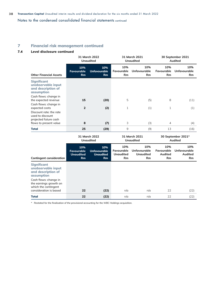#### **7 Financial risk management continued**

#### **7.4 Level disclosure continued**

|                                                                                                |                                       | 31 March 2022<br><b>Unaudited</b>       |                         | <b>31 March 2021</b><br><b>Unaudited</b> |                         | 30 September 2021<br>Audited |
|------------------------------------------------------------------------------------------------|---------------------------------------|-----------------------------------------|-------------------------|------------------------------------------|-------------------------|------------------------------|
| <b>Other Financial Assets</b>                                                                  | 10%<br><b>Favourable</b><br><b>Rm</b> | 10%<br><b>Unfavourable</b><br><b>Rm</b> | 10%<br>Favourable<br>Rm | 10%<br>Unfavourable<br>Rm                | 10%<br>Favourable<br>Rm | 10%<br>Unfavourable<br>Rm    |
| <b>Significant</b><br>unobservable input<br>and description of<br>assumption                   |                                       |                                         |                         |                                          |                         |                              |
| Cash flows: change in<br>the expected revenue                                                  | 15                                    | (20)                                    | 5                       | (5)                                      | 8                       | (11)                         |
| Cash flows: change in<br>expected costs                                                        | $\overline{2}$                        | (2)                                     | 1                       | (1)                                      | 1                       | (1)                          |
| Discount rate: the rate<br>used to discount<br>projected future cash<br>flows to present value | 8                                     | (7)                                     | 3                       | (3)                                      | 4                       | (4)                          |
| Total                                                                                          | 25                                    | (29)                                    | 9                       | (9)                                      | 13                      | (16)                         |

|                                                                                                   |                                                           | 31 March 2022<br><b>Unaudited</b>                    |                                             | 31 March 2021<br><b>Unaudited</b>             | 30 September 2021*<br>Audited             |                                      |  |  |  |
|---------------------------------------------------------------------------------------------------|-----------------------------------------------------------|------------------------------------------------------|---------------------------------------------|-----------------------------------------------|-------------------------------------------|--------------------------------------|--|--|--|
| <b>Contingent consideration</b>                                                                   | 10%<br><b>Favourable</b><br><b>Unaudited</b><br><b>Rm</b> | 10%<br><b>Unfavourable</b><br><b>Unaudited</b><br>Rm | 10%<br>Favourable<br><b>Unaudited</b><br>Rm | 10%<br>Unfavourable<br><b>Unaudited</b><br>Rm | 10%<br>Favourable<br>Audited<br><b>Rm</b> | 10%<br>Unfavourable<br>Audited<br>Rm |  |  |  |
| <b>Significant</b><br>unobservable input<br>and description of<br>assumption                      |                                                           |                                                      |                                             |                                               |                                           |                                      |  |  |  |
| Cash flows: change in<br>the earnings growth on<br>which the contingent<br>consideration is based | 22                                                        | (22)                                                 | n/a                                         | n/a                                           | 22                                        | (22)                                 |  |  |  |
| Total                                                                                             | 22                                                        | (22)                                                 | n/a                                         | n/a                                           | 22                                        | (22)                                 |  |  |  |

*\* Restated for the finalisation of the provisional accounting for the WBC Holdings acquisition.*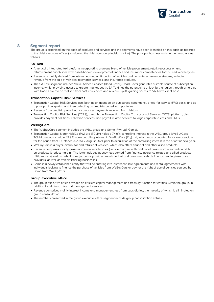#### **8 Segment report**

The group is organised on the basis of products and services and the segments have been identified on this basis as reported to the chief executive officer (considered the chief operating decision maker). The principal business units in the group are as follows:

#### **SA Taxi**

- A vertically integrated taxi platform incorporating a unique blend of vehicle procurement, retail, repossession and refurbishment capabilities with asset-backed developmental finance and insurance competencies for focused vehicle types.
- Revenue is mainly derived from interest earned on financing of vehicles and non-interest revenue streams, including revenue from the sale of vehicles, telematics services, and insurance products.
- The SA Taxi segment includes Value-Added Services (Road Cover). Road Cover generates a stable source of subscription income, whilst providing access to greater market depth. SA Taxi has the potential to unlock further value through synergies with Road Cover to be realised from cost efficiencies and revenue uplift, gaining access to SA Taxi's client base.

#### **Transaction Capital Risk Services**

- Transaction Capital Risk Services acts both as an agent on an outsourced contingency or fee-for-service (FFS) basis, and as a principal in acquiring and then collecting on credit-impaired loan portfolios.
- Revenue from credit-impaired loans comprises payments received from debtors.
- Transaction Capital Risk Services (TCRS), through the Transaction Capital Transactional Services (TCTS) platform, also provides payment solutions, collection services, and payroll-related services to large corporate clients and SMEs.

#### **WeBuyCars**

- The WeBuyCars segment includes the WBC group and Gomo (Pty) Ltd (Gomo).
- Transaction Capital Motor HoldCo (Pty) Ltd (TCMH) holds a 74.9% controlling interest in the WBC group (WeBuyCars). TCMH previously held a 49.9% non-controlling interest in WeBuyCars (Pty) Ltd, which was accounted for as an associate for the period from 1 October 2020 to 2 August 2021 prior to acquisition of the controlling interest in the prior financial year.
- WeBuyCars is a buyer, distributor and retailer of vehicles, which also offers financial and other allied products.
- Revenue comprises mainly gross margin on vehicle sales (vehicle margin), with additional gross margin earned on addon products (product margin). The latter includes agency fees earned from finance, insurance related and allied products (F&I products) sold on behalf of major banks providing asset-backed and unsecured vehicle finance, leading insurance providers, as well as vehicle tracking businesses.
- Gomo is a newly established entity that will be entering into instalment sale agreements and rental agreements with individuals looking to finance the purchase of vehicles from WeBuyCars or pay for the right of use of vehicles sourced by Gomo from WeBuyCars.

#### **Group executive office**

- The group executive office provides an efficient capital management and treasury function for entities within the group, in addition to administrative and management services.
- Revenue comprises mainly interest income and management fees from subsidiaries, the majority of which is eliminated on group consolidation.
- The numbers presented in the group executive office segment exclude group consolidation entries.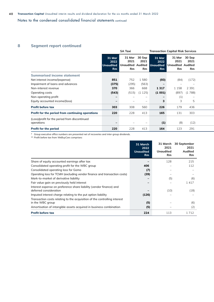## **8 Segment report continued**

|                                                              |                          | SA Taxi                  |                          | <b>Transaction Capital Risk Services</b>      |                       |                          |  |
|--------------------------------------------------------------|--------------------------|--------------------------|--------------------------|-----------------------------------------------|-----------------------|--------------------------|--|
|                                                              | 31 Mar<br>2022           | 31 Mar<br>2021           | 30 Sep<br>2021           | 31 Mar<br>2022                                | 31 Mar 30 Sep<br>2021 | 2021                     |  |
|                                                              | Unaudited                |                          |                          | Unaudited Audited Unaudited Unaudited Audited |                       |                          |  |
|                                                              | <b>Rm</b>                | Rm                       | Rm                       | <b>Rm</b>                                     | Rm                    | Rm                       |  |
| <b>Summarised income statement</b>                           |                          |                          |                          |                                               |                       |                          |  |
| Net interest income/(expense)                                | 851                      | 752                      | 1580                     | (93)                                          | (84)                  | (172)                    |  |
| Impairment of loans and advances                             | (375)                    | (295)                    | (563)                    | $\overline{\phantom{0}}$                      | $\sim$                | $\overline{\phantom{a}}$ |  |
| Non-interest revenue                                         | 370                      | 366                      | 668                      | 1 3 1 7                                       | 1 158                 | 2 3 9 1                  |  |
| Operating costs                                              | (543)                    | (515)                    | (1125)                   | (1 001)                                       | (897)                 | (1788)                   |  |
| Non-operating profit                                         | $\overline{\phantom{a}}$ | -                        | $\overline{\phantom{a}}$ | $\qquad \qquad$                               | (1)                   | $\overline{\phantom{a}}$ |  |
| Equity accounted income/(loss)                               | $-$                      | -                        | $\overline{\phantom{0}}$ |                                               | $\bigcap$             |                          |  |
| <b>Profit before tax</b>                                     | 303                      | 308                      | 560                      | 226                                           | 179                   | 436                      |  |
| Profit for the period from continuing operations             | 220                      | 228                      | 413                      | 165                                           | 131                   | 303                      |  |
| (Loss)/profit for the period from discontinued<br>operations | $-$                      | $\overline{\phantom{0}}$ | $\overline{\phantom{0}}$ | (1)                                           | (8)                   | (12)                     |  |
| Profit for the period                                        | 220                      | 228                      | 413                      | 164                                           | 123                   | 291                      |  |

*\* Group executive office numbers are presented net of recoveries and inter-group dividends.*

*\*\* Profit before tax from WeBuyCars comprises:*

|                                                                                                                    | 31 March<br>2022<br><b>Unaudited</b><br><b>Rm</b> | 31 March<br>2021<br><b>Unaudited</b><br>Rm | 30 September<br>2021<br><b>Audited</b><br>Rm |
|--------------------------------------------------------------------------------------------------------------------|---------------------------------------------------|--------------------------------------------|----------------------------------------------|
| Share of equity accounted earnings after tax                                                                       |                                                   | 128                                        | 215                                          |
| Consolidated operating profit for the WBC group                                                                    | 406                                               |                                            | 112                                          |
| Consolidated operating loss for Gomo                                                                               | (7)                                               |                                            |                                              |
| Operating loss for TCMH (excluding vendor finance and transaction costs)                                           | (39)                                              | -                                          |                                              |
| Mark-to-market of derivative liability                                                                             |                                                   | (5)                                        | (6)                                          |
| Fair value gain on previously held interest<br>Interest expense on preference share liability (vendor finance) and |                                                   |                                            | 1417                                         |
| deferred consideration                                                                                             |                                                   | (10)                                       | (18)                                         |
| Imputed interest charge relating to the put option liability                                                       | (126)                                             |                                            |                                              |
| Transaction costs relating to the acquisition of the controlling interest<br>in the WBC group                      | (5)                                               |                                            | (6)                                          |
| Amortisation of intangible assets acquired in business combination                                                 | (5)                                               |                                            | (2)                                          |
| <b>Profit before tax</b>                                                                                           | 224                                               | 113                                        | 1712                                         |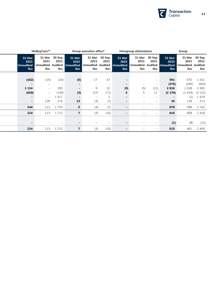

| WeBuyCars**                                     |                                                            | Group executive office*  |                             |                          |                             | <b>Intergroup eliminations</b> |                          | Group                       |                                                                                 |                                 |                             |
|-------------------------------------------------|------------------------------------------------------------|--------------------------|-----------------------------|--------------------------|-----------------------------|--------------------------------|--------------------------|-----------------------------|---------------------------------------------------------------------------------|---------------------------------|-----------------------------|
| 31 Mar<br>2022<br><b>Unaudited</b><br><b>Rm</b> | 31 Mar 30 Sep<br>2021<br>Unaudited Audited Unaudited<br>Rm | 2021<br>Rm               | 31 Mar<br>2022<br><b>Rm</b> | 2021<br>Rm               | 31 Mar 30 Sep<br>2021<br>Rm | 31 Mar<br>2022<br>Rm           | 2021<br>Rm               | 31 Mar 30 Sep<br>2021<br>Rm | 31 Mar<br>2022<br>Unaudited Audited Unaudited Unaudited Audited Unaudited<br>Rm | 2021<br>Unaudited Audited<br>Rm | 31 Mar 30 Sep<br>2021<br>Rm |
|                                                 |                                                            |                          |                             |                          |                             |                                |                          |                             |                                                                                 |                                 |                             |
| (162)                                           | (15)                                                       | (24)                     | (5)                         | 17                       | 47                          |                                |                          | $\overline{\phantom{0}}$    | 591                                                                             | 670                             | 1431                        |
| $\overline{\phantom{0}}$                        | $\overline{\phantom{0}}$                                   | $\overline{\phantom{a}}$ | $\overline{\phantom{a}}$    | $\overline{\phantom{0}}$ | $\overline{\phantom{0}}$    | $\overline{\phantom{0}}$       | $\overline{\phantom{0}}$ | $\overline{\phantom{a}}$    | (375)                                                                           | (295)                           | (563)                       |
| 1 1 3 4                                         | $\overline{\phantom{0}}$                                   | 295                      | $-$                         | 9                        | 22                          | (5)                            | (5)                      | (11)                        | 2 8 1 6                                                                         | 1528                            | 3 3 6 5                     |
| (628)                                           | $-$                                                        | (149)                    | (3)                         | (27)                     | (71)                        | 5.                             | 5                        | 11                          | (2 170)                                                                         |                                 | $(1434)$ $(3122)$           |
|                                                 | $-$                                                        | 1 4 1 7                  | $\overline{\phantom{a}}$    | $\overline{\phantom{0}}$ |                             |                                | $\sim$                   | $\overline{\phantom{0}}$    |                                                                                 | (1)                             | 1419                        |
| $-$                                             | 128                                                        | 215                      | 13                          | (3)                      | (7)                         |                                |                          | ۰                           | 16                                                                              | 128                             | 213                         |
| 344                                             | 113                                                        | 1754                     | 5 <sub>5</sub>              | (4)                      | (7)                         | $\overline{\phantom{0}}$       |                          | $\overline{\phantom{0}}$    | 878                                                                             | 596                             | 2743                        |
| 224                                             | 113                                                        | 1712                     | 7 <sup>7</sup>              | (3)                      | (10)                        |                                |                          |                             | 616                                                                             | 469                             | 2 4 1 8                     |
|                                                 |                                                            |                          |                             |                          |                             |                                |                          |                             |                                                                                 |                                 |                             |
|                                                 |                                                            |                          |                             |                          |                             |                                |                          |                             | (1)                                                                             | (8)                             | (12)                        |
| 224                                             | 113                                                        | 1712                     | 7 <sup>7</sup>              | (3)                      | (10)                        | $\overline{\phantom{0}}$       | $\overline{\phantom{0}}$ | $\overline{\phantom{0}}$    | 615                                                                             | 461                             | 2 4 0 6                     |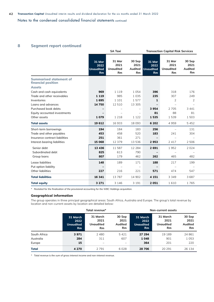#### **8 Segment report continued**

|                                                      |                                          | SA Taxi                                  |                                 |                                          | <b>Transaction Capital Risk Services</b> |                                 |
|------------------------------------------------------|------------------------------------------|------------------------------------------|---------------------------------|------------------------------------------|------------------------------------------|---------------------------------|
|                                                      | 31 Mar<br>2022<br><b>Unaudited</b><br>Rm | 31 Mar<br>2021<br><b>Unaudited</b><br>Rm | 30 Sep<br>2021<br>Audited<br>Rm | 31 Mar<br>2022<br><b>Unaudited</b><br>Rm | 31 Mar<br>2021<br><b>Unaudited</b><br>Rm | 30 Sep<br>2021<br>Audited<br>Rm |
| <b>Summarised statement of</b><br>financial position |                                          |                                          |                                 |                                          |                                          |                                 |
| <b>Assets</b>                                        |                                          |                                          |                                 |                                          |                                          |                                 |
| Cash and cash equivalents                            | 969                                      | 1 1 1 9                                  | 1054                            | 396                                      | 318                                      | 176                             |
| Trade and other receivables                          | 1 1 1 9                                  | 985                                      | 1 0 3 5                         | 235                                      | 307                                      | 249                             |
| Inventories                                          | 1695                                     | 1 1 0 1                                  | 1577                            | 1                                        | 2                                        | $\overline{2}$                  |
| Loans and advances                                   | 14 750                                   | 12 510                                   | 13 305                          | $\overline{\phantom{0}}$                 | $\overline{\phantom{a}}$                 | $\overline{\phantom{a}}$        |
| Purchased book debts                                 | $\overline{\phantom{a}}$                 | $-$                                      |                                 | 3 9 5 4                                  | 2705                                     | 3 4 4 1                         |
| Equity accounted investments                         | $\overline{\phantom{a}}$                 | $-$                                      | $\overline{\phantom{a}}$        | 81                                       | 88                                       | 81                              |
| Other assets                                         | 1 0 7 9                                  | 1 2 1 8                                  | 1 1 2 2                         | 1535                                     | 1539                                     | 1 503                           |
| <b>Total assets</b>                                  | 19 612                                   | 16933                                    | 18 093                          | 6 2 0 2                                  | 4959                                     | 5 4 5 2                         |
| Short-term borrowings                                | 194                                      | 184                                      | 183                             | 256                                      | $\overline{\phantom{a}}$                 | 131                             |
| Trade and other payables                             | 453                                      | 458                                      | 520                             | 183                                      | 241                                      | 304                             |
| Insurance contract liabilities                       | 251                                      | 361                                      | 271                             | $-$                                      | $\hspace{0.1mm}-\hspace{0.1mm}$          | $\overline{\phantom{a}}$        |
| Interest-bearing liabilities                         | 15 068                                   | 12 379                                   | 13 536                          | 2953                                     | 2 4 1 7                                  | 2 5 0 6                         |
| Senior debt                                          | 13 4 36                                  | 11 587                                   | 12 2 8 4                        | 2 6 9 1                                  | 1952                                     | 2 0 2 4                         |
| Subordinated debt                                    | 825                                      | 613                                      | 790                             | $-$                                      | $\hspace{0.1mm}-\hspace{0.1mm}$          | $\overline{\phantom{a}}$        |
| Group loans                                          | 807                                      | 179                                      | 462                             | 262                                      | 465                                      | 482                             |
| Lease liabilities                                    | 148                                      | 189                                      | 171                             | 188                                      | 217                                      | 199                             |
| Put option liability                                 | $-$                                      | $-$                                      | $-$                             | $\overline{\phantom{0}}$                 | $\hspace{0.1mm}-\hspace{0.1mm}$          | $\overline{\phantom{a}}$        |
| Other liabilities                                    | 227                                      | 216                                      | 221                             | 571                                      | 474                                      | 547                             |
| <b>Total liabilities</b>                             | 16 341                                   | 13787                                    | 14 902                          | 4 1 5 1                                  | 3 3 4 9                                  | 3 6 8 7                         |
| <b>Total equity</b>                                  | 3 2 7 1                                  | 3 1 4 6                                  | 3 1 9 1                         | 2 0 5 1                                  | 1610                                     | 1765                            |

*\* Restated for the finalisation of the provisional accounting for the WBC Holdings acquisition.*

#### **Geographical information**

The group operates in three principal geographical areas: South Africa, Australia and Europe. The group's total revenue by location and non-current assets by location are detailed below:

|                           |                                                   | Total revenue*                             |                                        | Non-current assets                                |                                            |                                 |  |  |  |  |  |  |
|---------------------------|---------------------------------------------------|--------------------------------------------|----------------------------------------|---------------------------------------------------|--------------------------------------------|---------------------------------|--|--|--|--|--|--|
|                           | 31 March<br>2022<br><b>Unaudited</b><br><b>Rm</b> | 31 March<br>2021<br><b>Unaudited</b><br>Rm | 30 Sep<br>2021<br><b>Audited</b><br>Rm | 31 March<br>2022<br><b>Unaudited</b><br><b>Rm</b> | 31 March<br>2021<br><b>Unaudited</b><br>Rm | 30 Sep<br>2021<br>Audited<br>Rm |  |  |  |  |  |  |
| South Africa<br>Australia | 3971<br>284                                       | 2480<br>311                                | 5421<br>607                            | 27 294<br>1 0 4 8                                 | 19 189<br>901                              | 24 861<br>1 0 5 3               |  |  |  |  |  |  |
| Europe                    | 15                                                | $\overline{\phantom{0}}$                   | $\overline{\phantom{0}}$               | 364                                               | 201                                        | 220                             |  |  |  |  |  |  |
| <b>Total</b>              | 4 2 7 0                                           | 2791                                       | 6028                                   | 28 706                                            | 20 29 1                                    | 26 134                          |  |  |  |  |  |  |

*\* Total revenue is the sum of gross interest income and non-interest revenue.*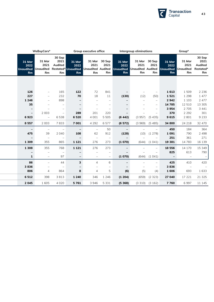

| Group executive office   |                                                                                        |  |  |                | Intergroup eliminations  |                          |                                                            |  |                             | Group*           |                          |                                                     |                                   |                                                          |
|--------------------------|----------------------------------------------------------------------------------------|--|--|----------------|--------------------------|--------------------------|------------------------------------------------------------|--|-----------------------------|------------------|--------------------------|-----------------------------------------------------|-----------------------------------|----------------------------------------------------------|
|                          | 30 Sep<br>31 Mar<br><b>Audited</b><br>2022<br><b>Restated*</b> Unaudited<br>Rm I<br>Rm |  |  | 2021           | 31 Mar 30 Sep<br>Rm      | 2021<br>Rm               | 31 Mar<br>2022<br>Unaudited Audited Unaudited<br><b>Rm</b> |  | 31 Mar 30 Sep<br>2021<br>Rm |                  | 2021<br>Rm               | 31 Mar<br>2022<br>Unaudited Audited Unaudited<br>Rm | 31 Mar<br>2021<br>Unaudited<br>Rm | 30 Sep<br>2021<br>Audited<br>Restated <sup>*</sup><br>Rm |
|                          |                                                                                        |  |  |                |                          |                          |                                                            |  |                             |                  |                          |                                                     |                                   |                                                          |
|                          | 122                                                                                    |  |  |                | 72                       | 841                      | $\overline{\phantom{0}}$                                   |  | $\overline{\phantom{0}}$    |                  | $\overline{\phantom{0}}$ | 1613                                                | 1 509                             | 2 2 3 6                                                  |
|                          | 70                                                                                     |  |  |                | 18                       | 11                       | (130)                                                      |  | (12)                        |                  | (50)                     | 1521                                                | 1 2 9 8                           | 1 477                                                    |
| $\overline{\phantom{a}}$ |                                                                                        |  |  |                | $\overline{\phantom{a}}$ | $\overline{\phantom{m}}$ |                                                            |  | $\overline{\phantom{0}}$    |                  | $\overline{\phantom{m}}$ | 2942                                                | 1 1 0 3                           | 2 477                                                    |
|                          |                                                                                        |  |  |                |                          | <b>1999</b>              |                                                            |  | $\overline{\phantom{0}}$    |                  | $\overline{\phantom{m}}$ | 14 785                                              | 12 510                            | 13 30 5                                                  |
| $\overline{\phantom{a}}$ |                                                                                        |  |  |                |                          |                          |                                                            |  |                             |                  | $\overline{\phantom{0}}$ | 3 9 5 4                                             | 2 7 0 5                           | 3 4 4 1                                                  |
|                          | 289<br>6520                                                                            |  |  | 201<br>4 0 0 1 |                          | 220<br>5 5 0 5           |                                                            |  | (3957)                      | (5435)           | $\overline{\phantom{m}}$ | 370<br>9615                                         | 2 2 9 2<br>2 8 0 1                | 301<br>9 2 3 3                                           |
|                          |                                                                                        |  |  |                |                          |                          | (6442)                                                     |  |                             |                  |                          |                                                     |                                   |                                                          |
|                          | 7 0 0 1                                                                                |  |  | 4 2 9 2        |                          | 6577                     | (6572)                                                     |  | $(3969)$ $(5485)$           |                  |                          | 34 800                                              | 24 218                            | 32 470                                                   |
| $-$                      |                                                                                        |  |  |                | $\overline{\phantom{a}}$ | 50                       | $\overline{\phantom{a}}$                                   |  |                             |                  | $\overline{\phantom{m}}$ | 450                                                 | 184                               | 364                                                      |
|                          | 108                                                                                    |  |  |                | 62                       | 912                      | (128)                                                      |  |                             | $(10)$ $(1 278)$ |                          | 1 0 9 1                                             | 790                               | 2 4 9 8                                                  |
| $\overline{\phantom{0}}$ |                                                                                        |  |  |                | $\overline{\phantom{a}}$ | $\overline{\phantom{a}}$ | $\overline{\phantom{0}}$                                   |  |                             |                  | $\overline{\phantom{0}}$ | 251                                                 | 361                               | 271                                                      |
|                          | 1 1 2 1                                                                                |  |  | 276            |                          | 273                      | (1070)                                                     |  | $(644)$ $(1041)$            |                  |                          | 19 3 8 1                                            | 14 7 8 3                          | 16 139                                                   |
|                          | 1 1 2 1                                                                                |  |  | 276            |                          | 273                      |                                                            |  |                             |                  |                          | 18 556                                              | 14 170                            | 15 3 4 9                                                 |
| $\overline{\phantom{a}}$ |                                                                                        |  |  |                |                          | $\overline{\phantom{a}}$ | $\overline{\phantom{0}}$                                   |  |                             |                  | $\overline{\phantom{a}}$ | 825                                                 | 613                               | 790                                                      |
| $-$                      |                                                                                        |  |  |                | $\overline{\phantom{a}}$ | $\overline{\phantom{m}}$ | (1070)                                                     |  | (644)                       | (1041)           |                          | $-$                                                 | $\overline{\phantom{a}}$          | $\overline{\phantom{m}}$                                 |
| $\overline{3}$           |                                                                                        |  |  |                |                          | 6                        |                                                            |  |                             |                  | $\overline{\phantom{m}}$ | 425                                                 | 410                               | 420                                                      |
| $\overline{\phantom{0}}$ |                                                                                        |  |  |                |                          |                          |                                                            |  |                             |                  | $\overline{\phantom{a}}$ | 3836                                                | $\overline{\phantom{a}}$          | $\overline{\phantom{a}}$                                 |
| 8                        |                                                                                        |  |  |                |                          | 5                        | (6)                                                        |  | (5)                         |                  | (4)                      | 1 60 6                                              | 693                               | 1633                                                     |
|                          | 1 2 4 0                                                                                |  |  | 346            |                          | 1 2 4 6                  | (1204)                                                     |  | (659)                       | (2323)           |                          | 27 040                                              | 17 221                            | 21 3 25                                                  |
|                          | 5761                                                                                   |  |  | 3946           |                          | 5 3 3 1                  | (5368)                                                     |  | (3310)                      | (3162)           |                          | 7 7 6 0                                             | 6997                              | 11 145                                                   |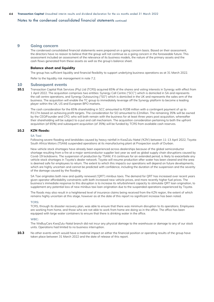#### **9 Going concern**

The condensed consolidated financial statements were prepared on a going concern basis. Based on their assessment, the directors have no reason to believe that the group will not continue as a going concern in the foreseeable future. This assessment included an assessment of the relevance of its business models, the nature of the primary assets and the cash flows generated from these assets as well as the group's balance sheet.

#### **Balance sheet and liquidity**

The group has sufficient liquidity and financial flexibility to support underlying business operations as at 31 March 2022.

Refer to the liquidity risk management in note 7.2.

#### **10 Subsequent events**

**10.1** Transaction Capital Risk Services (Pty) Ltd (TCRS) acquired 65% of the shares and voting interests in Synergy with effect from 1 April 2022. The acquisition comprises two entities: Synergy Call Centre ("SCC") which is domiciled in SA and represents the call centre operations, and Synergy Outsourcing ("SO") which is domiciled in the UK and represents the sales arm of the business. The acquisition will enable the TC group to immediately leverage off the Synergy platform to become a leading player within the UK, US and European BPO markets.

The cash consideration for the 65% shareholding in SCC amounted to R208 million with a contingent payment of up to R117m based on achieving profit targets. The consideration for SO amounted to £2million. The remaining 35% will be owned by the CEO/Founder and CFO, who will both remain with the business for at least three years post acquisition, whereafter their shareholding will be subject to a put and call mechanism. The acquisition consideration pertaining to both the upfront acquisition (of 65%) and subsequent acquisition (of 35%) will be funded by TCRS from available cash reserves.

#### **10.2 KZN floods:**

#### **SA Taxi**

Following severe flooding and landslides caused by heavy rainfall in KwaZulu-Natal ('KZN') between 11-13 April 2022, Toyota South Africa Motors (TSAM) suspended operations at its manufacturing plant at Prospecton south of Durban.

New vehicle stock shortages have already been experienced across dealerships because of the global semiconductor shortage resulting from a fire at a major semiconductor supplier last year as well as global supply chain disruptions caused by Covid-19 lockdowns. The suspension of production by TSAM, if it continues for an extended period, is likely to exacerbate any vehicle stock shortages in Toyota's dealer network. Toyota will resume production after water has been cleared and the area is deemed safe for employees to return. The extent to which this impacts our operations will depend on future developments, which are highly uncertain and cannot be predicted with confidence, including the duration of the suspension and the severity of the damage caused by the flooding.

SA Taxi originates both new and quality renewed ('QRT') minibus taxis. The demand for QRT has increased over recent years given operator affordability constraints with both increased new vehicle prices, and more recently higher fuel prices. The business's immediate response to this disruption is to increase its refurbishment capacity to stimulate QRT loan origination, to supplement any potential loss of new minibus taxi loan origination due to the suspended operations experienced by Toyota.

The floods may also result in a heightened level of insurance claims being received from the KZN region, the extent of which remains highly uncertain at this stage, however as at the date of this report no significant increase has been noted.

#### **TCRS:**

TCRS, through its disaster recovery plan, was able to ensure that there was minimum disruption to its operations. Employees are working from home, and those who are not able to work from home are doing so in the office. The office has been equipped with large water containers to ensure that there is drinking water in the office.

#### **WBC:**

The WeBuyCars KwaZulu-Natal branch did not incur any physical damage to the warehouse or damage to any of our stock units. Operations had limited to no business interruption.

10.3 No other events which would have a material impact on either the financial position or operating results of the group have taken place between 31 March 2022 and the date of release of this report.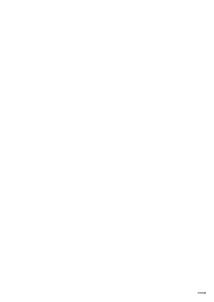STUDIO<sup>®</sup>